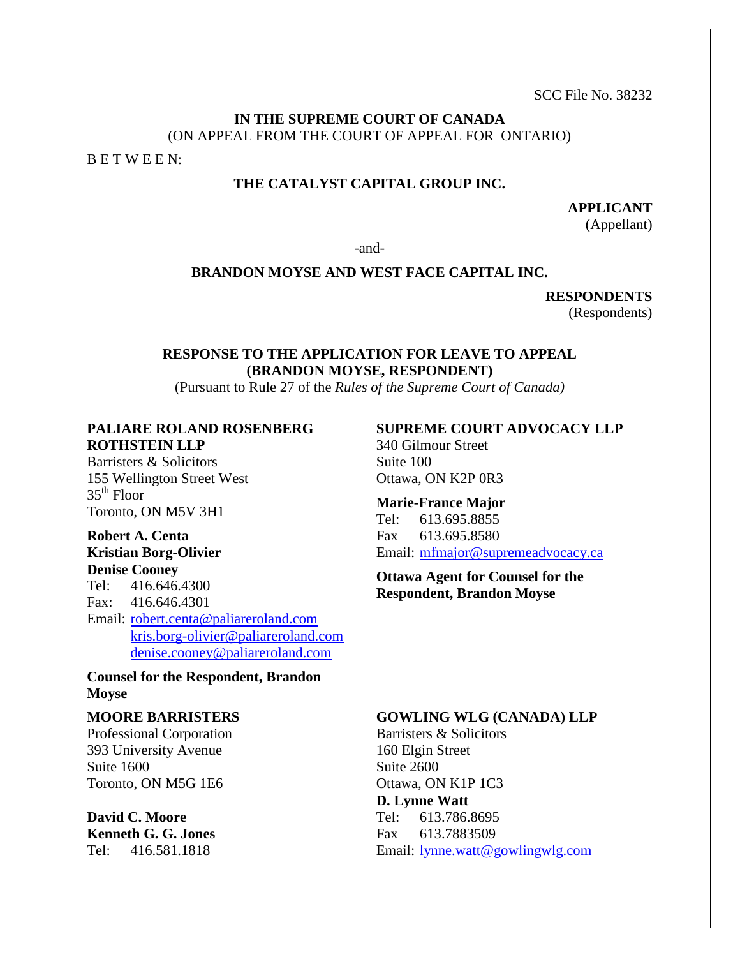SCC File No. 38232

## **IN THE SUPREME COURT OF CANADA** (ON APPEAL FROM THE COURT OF APPEAL FOR ONTARIO)

B E T W E E N:

#### **THE CATALYST CAPITAL GROUP INC.**

**APPLICANT**

(Appellant)

-and-

### **BRANDON MOYSE AND WEST FACE CAPITAL INC.**

**RESPONDENTS**

(Respondents)

### **RESPONSE TO THE APPLICATION FOR LEAVE TO APPEAL (BRANDON MOYSE, RESPONDENT)**

(Pursuant to Rule 27 of the *Rules of the Supreme Court of Canada)*

## **PALIARE ROLAND ROSENBERG ROTHSTEIN LLP**

Barristers & Solicitors 155 Wellington Street West 35th Floor Toronto, ON M5V 3H1

### **Robert A. Centa Kristian Borg-Olivier Denise Cooney**

Tel: 416.646.4300 Fax: 416.646.4301 Email: [robert.centa@paliareroland.com](mailto:robert.centa@paliareroland.com) [kris.borg-olivier@paliareroland.com](mailto:kris.borg-olivier@paliareroland.com) [denise.cooney@paliareroland.com](mailto:denise.cooney@paliareroland.com)

**Counsel for the Respondent, Brandon Moyse**

#### **MOORE BARRISTERS**

Professional Corporation 393 University Avenue Suite 1600 Toronto, ON M5G 1E6

**David C. Moore Kenneth G. G. Jones** Tel: 416.581.1818

## **SUPREME COURT ADVOCACY LLP** 340 Gilmour Street Suite 100 Ottawa, ON K2P 0R3

**Marie-France Major** Tel: 613.695.8855 Fax 613.695.8580 Email: [mfmajor@supremeadvocacy.ca](mailto:mfmajor@supremeadvocacy.ca)

**Ottawa Agent for Counsel for the Respondent, Brandon Moyse**

## **GOWLING WLG (CANADA) LLP**

Barristers & Solicitors 160 Elgin Street Suite 2600 Ottawa, ON K1P 1C3 **D. Lynne Watt** Tel: 613.786.8695 Fax 613.7883509 Email: [lynne.watt@gowlingwlg.com](mailto:lynne.watt@gowlingwlg.com)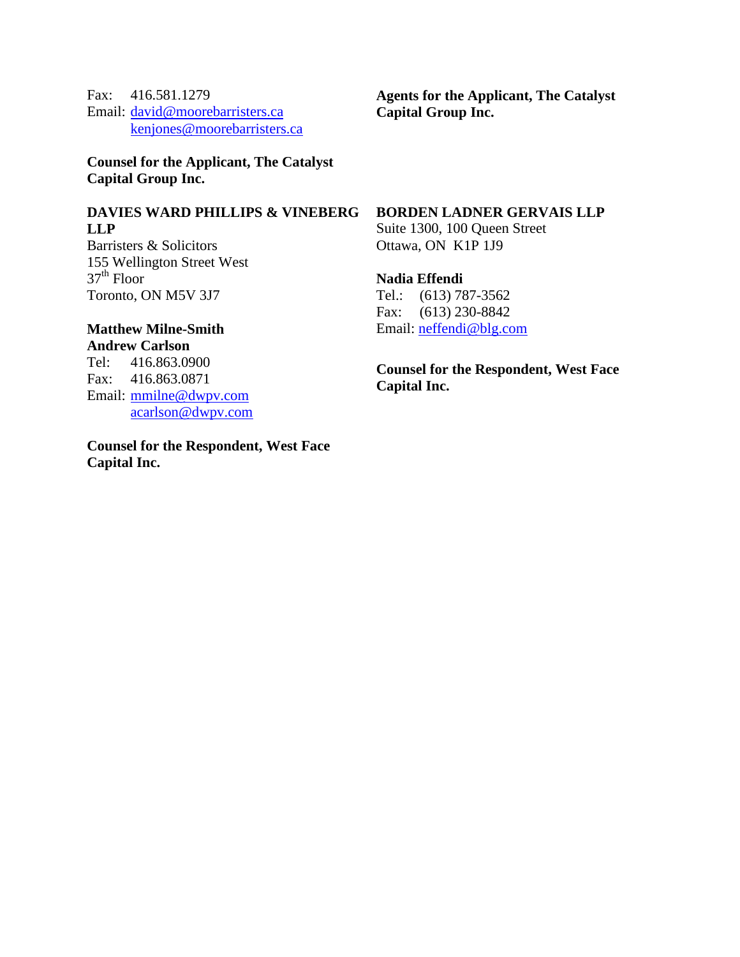Fax: 416.581.1279 Email: [david@moorebarristers.ca](mailto:david@moorebarristers.ca) [kenjones@moorebarristers.ca](mailto:kenjones@moorebarristers.ca)

**Counsel for the Applicant, The Catalyst Capital Group Inc.**

### **DAVIES WARD PHILLIPS & VINEBERG LLP** Barristers & Solicitors

155 Wellington Street West  $37<sup>th</sup>$  Floor Toronto, ON M5V 3J7

#### **Matthew Milne-Smith Andrew Carlson**

Tel: 416.863.0900 Fax: 416.863.0871 Email: [mmilne@dwpv.com](mailto:mmilne@dwpv.com) [acarlson@dwpv.com](mailto:acarlson@dwpv.com)

**Counsel for the Respondent, West Face Capital Inc.**

**Agents for the Applicant, The Catalyst Capital Group Inc.**

## **BORDEN LADNER GERVAIS LLP**

Suite 1300, 100 Queen Street Ottawa, ON K1P 1J9

**Nadia Effendi** Tel.: (613) 787-3562 Fax: (613) 230-8842 Email: [neffendi@blg.com](mailto:neffendi@blg.com)

**Counsel for the Respondent, West Face Capital Inc.**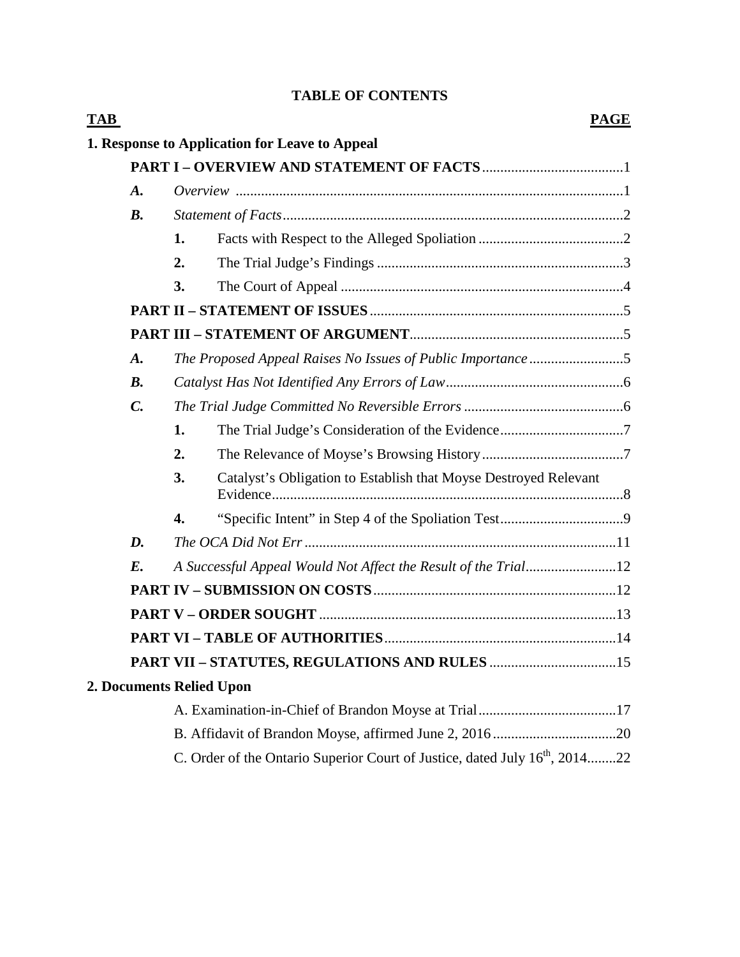# **TABLE OF CONTENTS**

| <b>TAB</b> |                    |    |                                                                                         | <b>PAGE</b> |
|------------|--------------------|----|-----------------------------------------------------------------------------------------|-------------|
|            |                    |    | 1. Response to Application for Leave to Appeal                                          |             |
|            |                    |    |                                                                                         |             |
|            | A.                 |    |                                                                                         |             |
|            | $B$ .              |    |                                                                                         |             |
|            |                    | 1. |                                                                                         |             |
|            |                    | 2. |                                                                                         |             |
|            |                    | 3. |                                                                                         |             |
|            |                    |    |                                                                                         |             |
|            |                    |    |                                                                                         |             |
|            | $\boldsymbol{A}$ . |    | The Proposed Appeal Raises No Issues of Public Importance 5                             |             |
|            | $\mathbf{B}$ .     |    |                                                                                         |             |
|            | $\mathcal{C}$ .    |    |                                                                                         |             |
|            |                    | 1. |                                                                                         |             |
|            |                    | 2. |                                                                                         |             |
|            |                    | 3. | Catalyst's Obligation to Establish that Moyse Destroyed Relevant                        |             |
|            |                    | 4. |                                                                                         |             |
|            | D.                 |    |                                                                                         |             |
|            | $E$ .              |    | A Successful Appeal Would Not Affect the Result of the Trial12                          |             |
|            |                    |    |                                                                                         |             |
|            |                    |    |                                                                                         |             |
|            |                    |    |                                                                                         |             |
|            |                    |    |                                                                                         |             |
|            |                    |    | 2. Documents Relied Upon                                                                |             |
|            |                    |    |                                                                                         |             |
|            |                    |    |                                                                                         |             |
|            |                    |    | C. Order of the Ontario Superior Court of Justice, dated July 16 <sup>th</sup> , 201422 |             |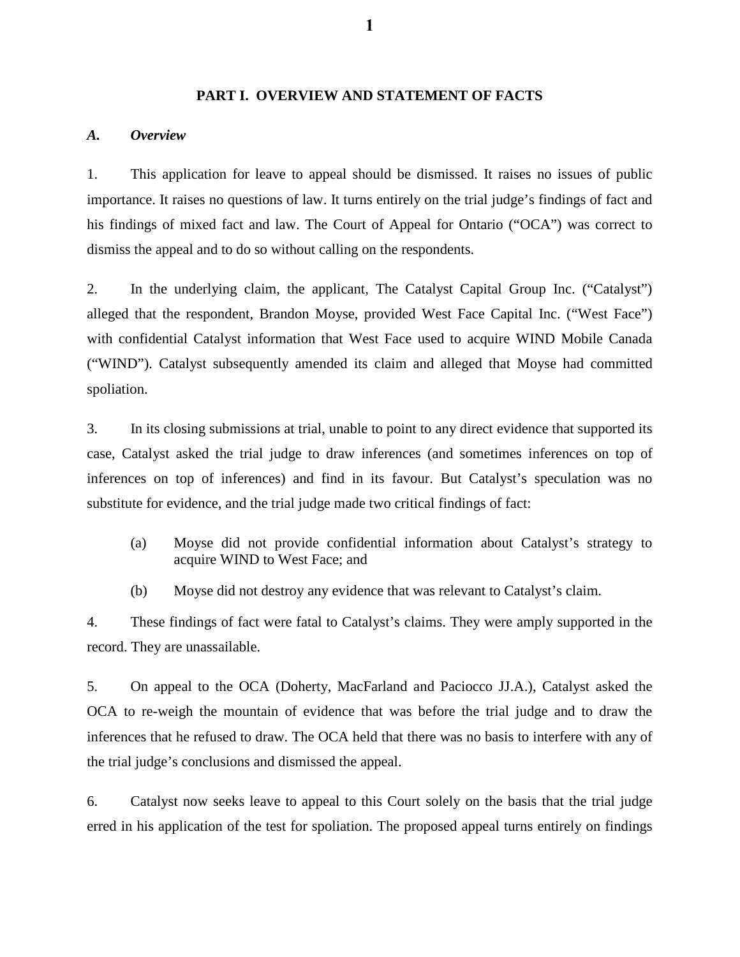#### **PART I. OVERVIEW AND STATEMENT OF FACTS**

#### *A. Overview*

1. This application for leave to appeal should be dismissed. It raises no issues of public importance. It raises no questions of law. It turns entirely on the trial judge's findings of fact and his findings of mixed fact and law. The Court of Appeal for Ontario ("OCA") was correct to dismiss the appeal and to do so without calling on the respondents.

2. In the underlying claim, the applicant, The Catalyst Capital Group Inc. ("Catalyst") alleged that the respondent, Brandon Moyse, provided West Face Capital Inc. ("West Face") with confidential Catalyst information that West Face used to acquire WIND Mobile Canada ("WIND"). Catalyst subsequently amended its claim and alleged that Moyse had committed spoliation.

3. In its closing submissions at trial, unable to point to any direct evidence that supported its case, Catalyst asked the trial judge to draw inferences (and sometimes inferences on top of inferences on top of inferences) and find in its favour. But Catalyst's speculation was no substitute for evidence, and the trial judge made two critical findings of fact:

- (a) Moyse did not provide confidential information about Catalyst's strategy to acquire WIND to West Face; and
- (b) Moyse did not destroy any evidence that was relevant to Catalyst's claim.

4. These findings of fact were fatal to Catalyst's claims. They were amply supported in the record. They are unassailable.

5. On appeal to the OCA (Doherty, MacFarland and Paciocco JJ.A.), Catalyst asked the OCA to re-weigh the mountain of evidence that was before the trial judge and to draw the inferences that he refused to draw. The OCA held that there was no basis to interfere with any of the trial judge's conclusions and dismissed the appeal.

6. Catalyst now seeks leave to appeal to this Court solely on the basis that the trial judge erred in his application of the test for spoliation. The proposed appeal turns entirely on findings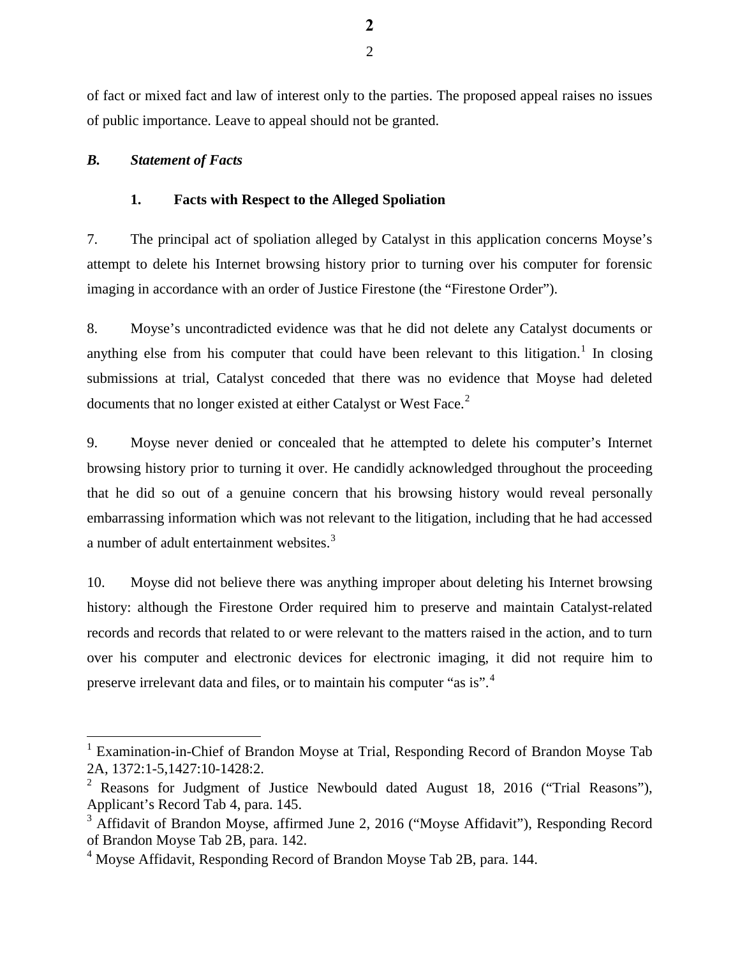of fact or mixed fact and law of interest only to the parties. The proposed appeal raises no issues of public importance. Leave to appeal should not be granted.

### *B. Statement of Facts*

 $\overline{\phantom{a}}$ 

#### **1. Facts with Respect to the Alleged Spoliation**

7. The principal act of spoliation alleged by Catalyst in this application concerns Moyse's attempt to delete his Internet browsing history prior to turning over his computer for forensic imaging in accordance with an order of Justice Firestone (the "Firestone Order").

8. Moyse's uncontradicted evidence was that he did not delete any Catalyst documents or anything else from his computer that could have been relevant to this litigation.<sup>[1](#page-4-0)</sup> In closing submissions at trial, Catalyst conceded that there was no evidence that Moyse had deleted documents that no longer existed at either Catalyst or West Face. $2$ 

9. Moyse never denied or concealed that he attempted to delete his computer's Internet browsing history prior to turning it over. He candidly acknowledged throughout the proceeding that he did so out of a genuine concern that his browsing history would reveal personally embarrassing information which was not relevant to the litigation, including that he had accessed a number of adult entertainment websites.<sup>[3](#page-4-2)</sup>

10. Moyse did not believe there was anything improper about deleting his Internet browsing history: although the Firestone Order required him to preserve and maintain Catalyst-related records and records that related to or were relevant to the matters raised in the action, and to turn over his computer and electronic devices for electronic imaging, it did not require him to preserve irrelevant data and files, or to maintain his computer "as is".<sup>[4](#page-4-3)</sup>

<span id="page-4-0"></span><sup>&</sup>lt;sup>1</sup> Examination-in-Chief of Brandon Moyse at Trial, Responding Record of Brandon Moyse Tab 2A, 1372:1-5,1427:10-1428:2.

<span id="page-4-1"></span><sup>&</sup>lt;sup>2</sup> Reasons for Judgment of Justice Newbould dated August 18, 2016 ("Trial Reasons"), Applicant's Record Tab 4, para. 145.

<span id="page-4-2"></span><sup>&</sup>lt;sup>3</sup> Affidavit of Brandon Moyse, affirmed June 2, 2016 ("Moyse Affidavit"), Responding Record of Brandon Moyse Tab 2B, para. 142.

<span id="page-4-3"></span><sup>&</sup>lt;sup>4</sup> Moyse Affidavit, Responding Record of Brandon Moyse Tab 2B, para. 144.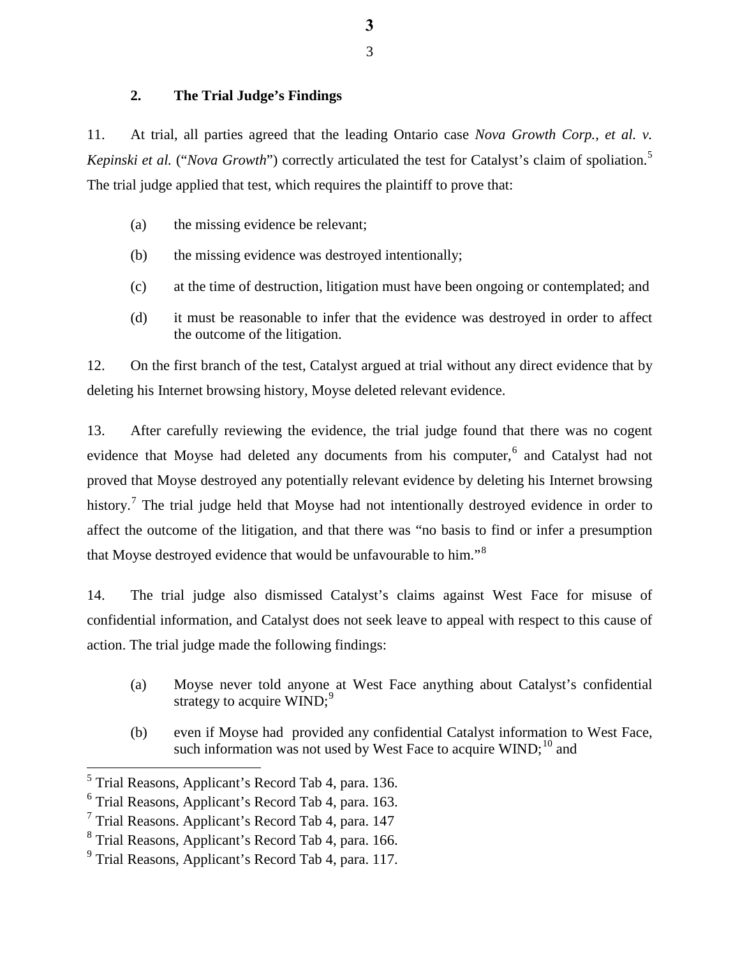## **2. The Trial Judge's Findings**

11. At trial, all parties agreed that the leading Ontario case *Nova Growth Corp., et al. v. Kepinski et al.* ("*Nova Growth*") correctly articulated the test for Catalyst's claim of spoliation.<sup>[5](#page-5-0)</sup> The trial judge applied that test, which requires the plaintiff to prove that:

- (a) the missing evidence be relevant;
- (b) the missing evidence was destroyed intentionally;
- (c) at the time of destruction, litigation must have been ongoing or contemplated; and
- (d) it must be reasonable to infer that the evidence was destroyed in order to affect the outcome of the litigation.

12. On the first branch of the test, Catalyst argued at trial without any direct evidence that by deleting his Internet browsing history, Moyse deleted relevant evidence.

13. After carefully reviewing the evidence, the trial judge found that there was no cogent evidence that Moyse had deleted any documents from his computer, [6](#page-5-1) and Catalyst had not proved that Moyse destroyed any potentially relevant evidence by deleting his Internet browsing history.<sup>[7](#page-5-2)</sup> The trial judge held that Moyse had not intentionally destroyed evidence in order to affect the outcome of the litigation, and that there was "no basis to find or infer a presumption that Moyse destroyed evidence that would be unfavourable to him."[8](#page-5-3)

<span id="page-5-5"></span>14. The trial judge also dismissed Catalyst's claims against West Face for misuse of confidential information, and Catalyst does not seek leave to appeal with respect to this cause of action. The trial judge made the following findings:

- (a) Moyse never told anyone at West Face anything about Catalyst's confidential strategy to acquire  $WIND;$ <sup>[9](#page-5-4)</sup>
- (b) even if Moyse had provided any confidential Catalyst information to West Face, such information was not used by West Face to acquire  $WIND;^{10}$  $WIND;^{10}$  $WIND;^{10}$  and

 $\overline{a}$ 

<span id="page-5-0"></span><sup>&</sup>lt;sup>5</sup> Trial Reasons, Applicant's Record Tab 4, para. 136.

<span id="page-5-1"></span> $6$  Trial Reasons, Applicant's Record Tab 4, para. 163.

<span id="page-5-2"></span> $<sup>7</sup>$  Trial Reasons. Applicant's Record Tab 4, para. 147</sup>

<span id="page-5-3"></span><sup>8</sup> Trial Reasons, Applicant's Record Tab 4, para. 166.

<span id="page-5-4"></span><sup>9</sup> Trial Reasons, Applicant's Record Tab 4, para. 117.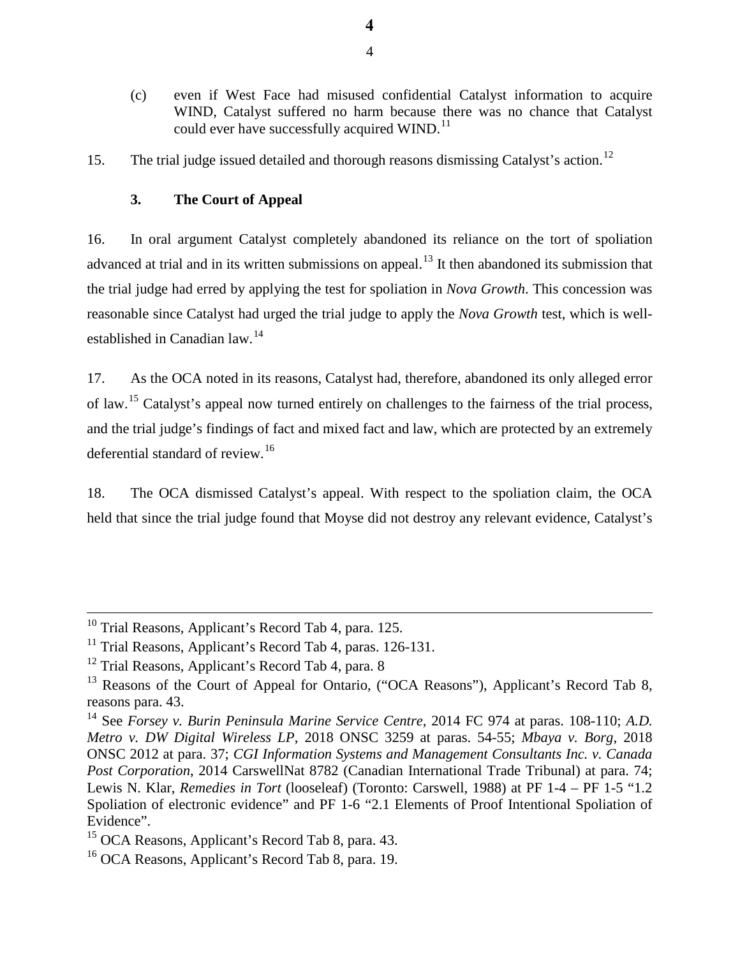(c) even if West Face had misused confidential Catalyst information to acquire WIND, Catalyst suffered no harm because there was no chance that Catalyst could ever have successfully acquired WIND.<sup>[11](#page-6-0)</sup>

15. The trial judge issued detailed and thorough reasons dismissing Catalyst's action.<sup>[12](#page-6-1)</sup>

## **3. The Court of Appeal**

16. In oral argument Catalyst completely abandoned its reliance on the tort of spoliation advanced at trial and in its written submissions on appeal.<sup>[13](#page-6-2)</sup> It then abandoned its submission that the trial judge had erred by applying the test for spoliation in *Nova Growth*. This concession was reasonable since Catalyst had urged the trial judge to apply the *Nova Growth* test, which is wellestablished in Canadian law.[14](#page-6-3)

17. As the OCA noted in its reasons, Catalyst had, therefore, abandoned its only alleged error of law.[15](#page-6-4) Catalyst's appeal now turned entirely on challenges to the fairness of the trial process, and the trial judge's findings of fact and mixed fact and law, which are protected by an extremely deferential standard of review.[16](#page-6-5)

18. The OCA dismissed Catalyst's appeal. With respect to the spoliation claim, the OCA held that since the trial judge found that Moyse did not destroy any relevant evidence, Catalyst's

<sup>10</sup> Trial Reasons, Applicant's Record Tab 4, para. 125.

<span id="page-6-0"></span> $11$  Trial Reasons, Applicant's Record Tab 4, paras. 126-131.

<span id="page-6-1"></span> $12$  Trial Reasons, Applicant's Record Tab 4, para. 8

<span id="page-6-2"></span><sup>&</sup>lt;sup>13</sup> Reasons of the Court of Appeal for Ontario, ("OCA Reasons"), Applicant's Record Tab 8, reasons para. 43.

<span id="page-6-3"></span><sup>14</sup> See *Forsey v. Burin Peninsula Marine Service Centre*, 2014 FC 974 at paras. 108-110; *A.D. Metro v. DW Digital Wireless LP*, 2018 ONSC 3259 at paras. 54-55; *Mbaya v. Borg*, 2018 ONSC 2012 at para. 37; *CGI Information Systems and Management Consultants Inc. v. Canada Post Corporation*, 2014 CarswellNat 8782 (Canadian International Trade Tribunal) at para. 74; Lewis N. Klar, *Remedies in Tort* (looseleaf) (Toronto: Carswell, 1988) at PF 1-4 – PF 1-5 "1.2 Spoliation of electronic evidence" and PF 1-6 "2.1 Elements of Proof Intentional Spoliation of Evidence".

<span id="page-6-4"></span> $15$  OCA Reasons, Applicant's Record Tab 8, para. 43.

<span id="page-6-5"></span><sup>16</sup> OCA Reasons, Applicant's Record Tab 8, para. 19.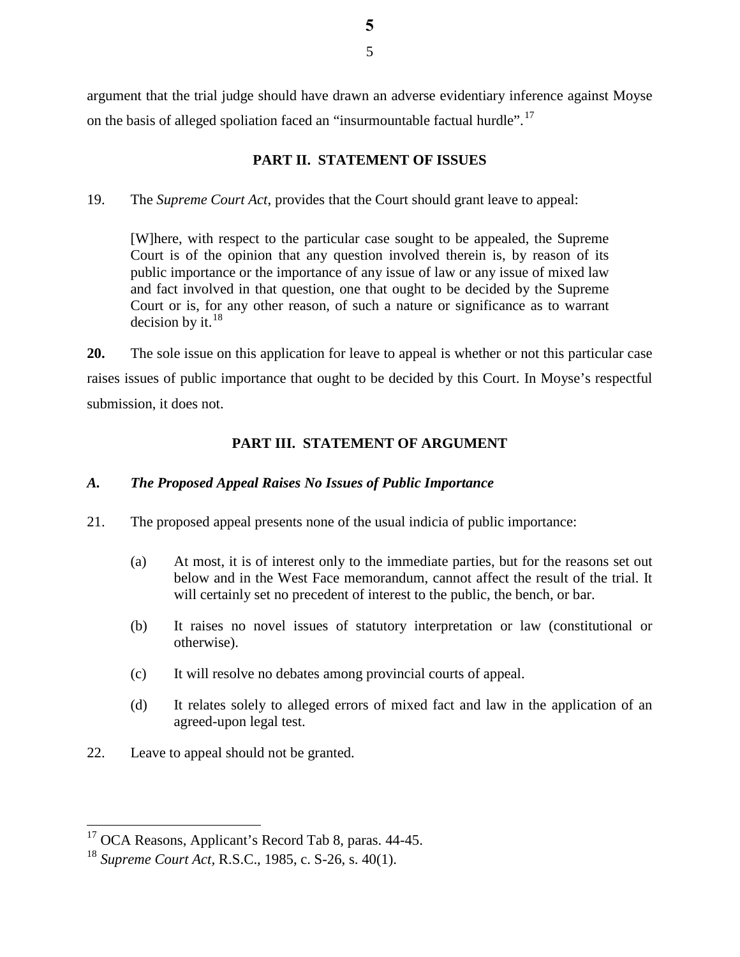argument that the trial judge should have drawn an adverse evidentiary inference against Moyse on the basis of alleged spoliation faced an "insurmountable factual hurdle".<sup>[17](#page-7-0)</sup>

## **PART II. STATEMENT OF ISSUES**

19. The *Supreme Court Act*, provides that the Court should grant leave to appeal:

[W]here, with respect to the particular case sought to be appealed, the Supreme Court is of the opinion that any question involved therein is, by reason of its public importance or the importance of any issue of law or any issue of mixed law and fact involved in that question, one that ought to be decided by the Supreme Court or is, for any other reason, of such a nature or significance as to warrant decision by it.  $18$ 

**20.** The sole issue on this application for leave to appeal is whether or not this particular case raises issues of public importance that ought to be decided by this Court. In Moyse's respectful submission, it does not.

## **PART III. STATEMENT OF ARGUMENT**

## *A. The Proposed Appeal Raises No Issues of Public Importance*

- 21. The proposed appeal presents none of the usual indicia of public importance:
	- (a) At most, it is of interest only to the immediate parties, but for the reasons set out below and in the West Face memorandum, cannot affect the result of the trial. It will certainly set no precedent of interest to the public, the bench, or bar.
	- (b) It raises no novel issues of statutory interpretation or law (constitutional or otherwise).
	- (c) It will resolve no debates among provincial courts of appeal.
	- (d) It relates solely to alleged errors of mixed fact and law in the application of an agreed-upon legal test.
- 22. Leave to appeal should not be granted.

 $\overline{\phantom{a}}$ 

<span id="page-7-0"></span><sup>&</sup>lt;sup>17</sup> OCA Reasons, Applicant's Record Tab 8, paras. 44-45.

<span id="page-7-1"></span><sup>18</sup> *Supreme Court Act,* R.S.C., 1985, c. S-26, s. 40(1).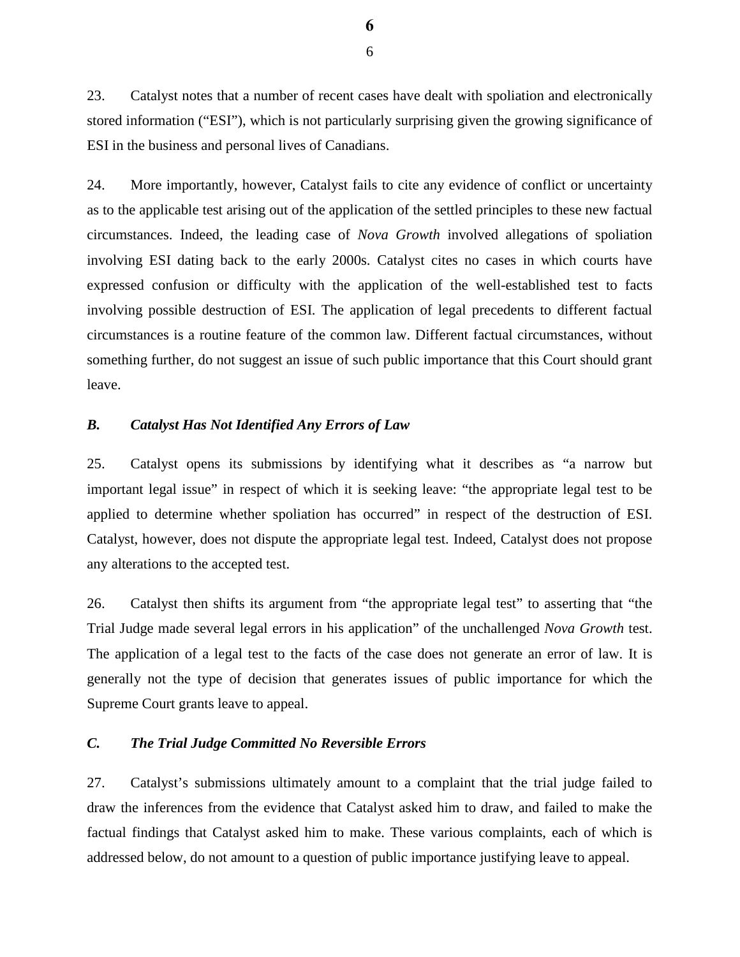23. Catalyst notes that a number of recent cases have dealt with spoliation and electronically stored information ("ESI"), which is not particularly surprising given the growing significance of ESI in the business and personal lives of Canadians.

24. More importantly, however, Catalyst fails to cite any evidence of conflict or uncertainty as to the applicable test arising out of the application of the settled principles to these new factual circumstances. Indeed, the leading case of *Nova Growth* involved allegations of spoliation involving ESI dating back to the early 2000s. Catalyst cites no cases in which courts have expressed confusion or difficulty with the application of the well-established test to facts involving possible destruction of ESI. The application of legal precedents to different factual circumstances is a routine feature of the common law. Different factual circumstances, without something further, do not suggest an issue of such public importance that this Court should grant leave.

#### *B. Catalyst Has Not Identified Any Errors of Law*

25. Catalyst opens its submissions by identifying what it describes as "a narrow but important legal issue" in respect of which it is seeking leave: "the appropriate legal test to be applied to determine whether spoliation has occurred" in respect of the destruction of ESI. Catalyst, however, does not dispute the appropriate legal test. Indeed, Catalyst does not propose any alterations to the accepted test.

26. Catalyst then shifts its argument from "the appropriate legal test" to asserting that "the Trial Judge made several legal errors in his application" of the unchallenged *Nova Growth* test. The application of a legal test to the facts of the case does not generate an error of law. It is generally not the type of decision that generates issues of public importance for which the Supreme Court grants leave to appeal.

#### *C. The Trial Judge Committed No Reversible Errors*

27. Catalyst's submissions ultimately amount to a complaint that the trial judge failed to draw the inferences from the evidence that Catalyst asked him to draw, and failed to make the factual findings that Catalyst asked him to make. These various complaints, each of which is addressed below, do not amount to a question of public importance justifying leave to appeal.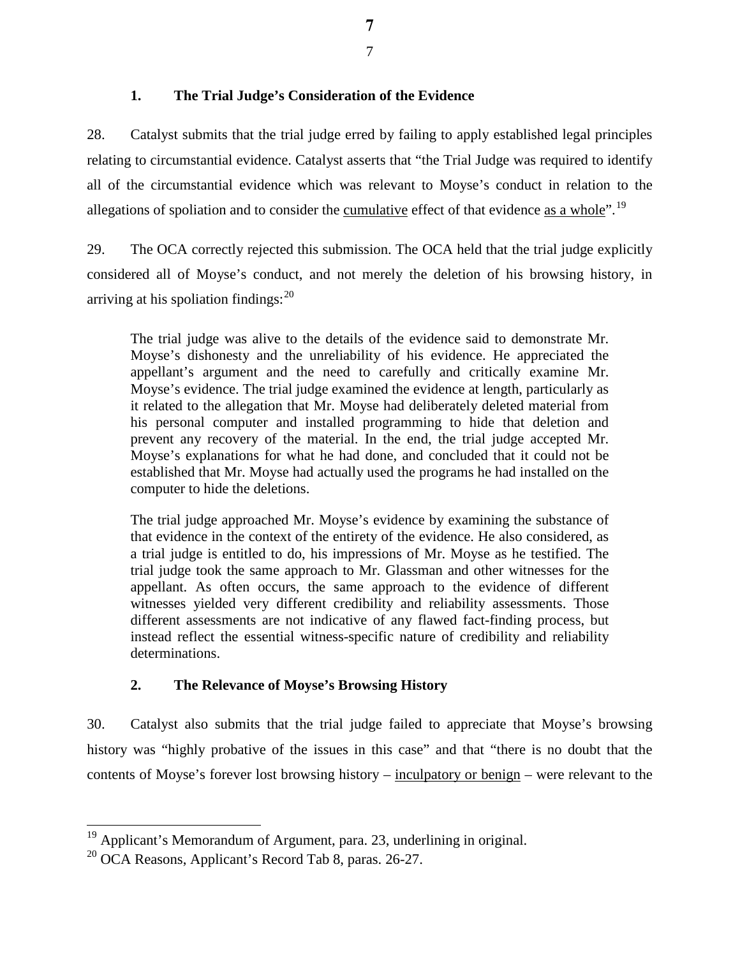## **1. The Trial Judge's Consideration of the Evidence**

28. Catalyst submits that the trial judge erred by failing to apply established legal principles relating to circumstantial evidence. Catalyst asserts that "the Trial Judge was required to identify all of the circumstantial evidence which was relevant to Moyse's conduct in relation to the allegations of spoliation and to consider the cumulative effect of that evidence as a whole".<sup>[19](#page-9-0)</sup>

29. The OCA correctly rejected this submission. The OCA held that the trial judge explicitly considered all of Moyse's conduct, and not merely the deletion of his browsing history, in arriving at his spoliation findings:<sup>[20](#page-9-1)</sup>

The trial judge was alive to the details of the evidence said to demonstrate Mr. Moyse's dishonesty and the unreliability of his evidence. He appreciated the appellant's argument and the need to carefully and critically examine Mr. Moyse's evidence. The trial judge examined the evidence at length, particularly as it related to the allegation that Mr. Moyse had deliberately deleted material from his personal computer and installed programming to hide that deletion and prevent any recovery of the material. In the end, the trial judge accepted Mr. Moyse's explanations for what he had done, and concluded that it could not be established that Mr. Moyse had actually used the programs he had installed on the computer to hide the deletions.

The trial judge approached Mr. Moyse's evidence by examining the substance of that evidence in the context of the entirety of the evidence. He also considered, as a trial judge is entitled to do, his impressions of Mr. Moyse as he testified. The trial judge took the same approach to Mr. Glassman and other witnesses for the appellant. As often occurs, the same approach to the evidence of different witnesses yielded very different credibility and reliability assessments. Those different assessments are not indicative of any flawed fact-finding process, but instead reflect the essential witness-specific nature of credibility and reliability determinations.

## **2. The Relevance of Moyse's Browsing History**

30. Catalyst also submits that the trial judge failed to appreciate that Moyse's browsing history was "highly probative of the issues in this case" and that "there is no doubt that the contents of Moyse's forever lost browsing history – inculpatory or benign – were relevant to the

 $\overline{\phantom{a}}$ <sup>19</sup> Applicant's Memorandum of Argument, para. 23, underlining in original.

<span id="page-9-1"></span><span id="page-9-0"></span> $20$  OCA Reasons, Applicant's Record Tab 8, paras. 26-27.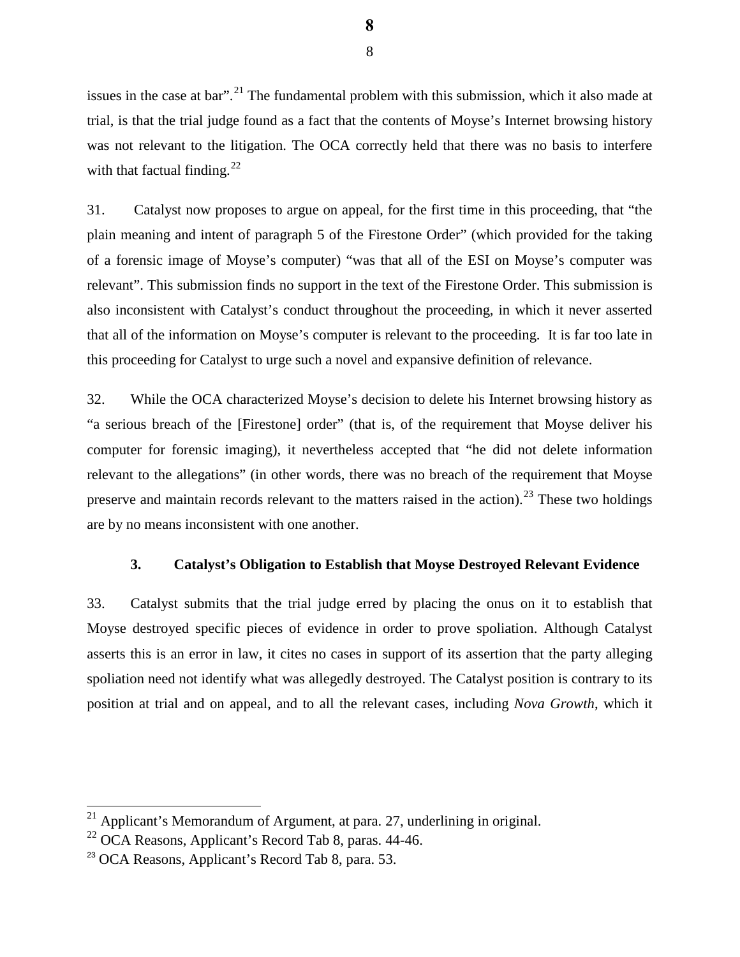issues in the case at bar".<sup>[21](#page-10-0)</sup> The fundamental problem with this submission, which it also made at trial, is that the trial judge found as a fact that the contents of Moyse's Internet browsing history was not relevant to the litigation. The OCA correctly held that there was no basis to interfere with that factual finding. $^{22}$  $^{22}$  $^{22}$ 

31. Catalyst now proposes to argue on appeal, for the first time in this proceeding, that "the plain meaning and intent of paragraph 5 of the Firestone Order" (which provided for the taking of a forensic image of Moyse's computer) "was that all of the ESI on Moyse's computer was relevant". This submission finds no support in the text of the Firestone Order. This submission is also inconsistent with Catalyst's conduct throughout the proceeding, in which it never asserted that all of the information on Moyse's computer is relevant to the proceeding. It is far too late in this proceeding for Catalyst to urge such a novel and expansive definition of relevance.

32. While the OCA characterized Moyse's decision to delete his Internet browsing history as "a serious breach of the [Firestone] order" (that is, of the requirement that Moyse deliver his computer for forensic imaging), it nevertheless accepted that "he did not delete information relevant to the allegations" (in other words, there was no breach of the requirement that Moyse preserve and maintain records relevant to the matters raised in the action).<sup>[23](#page-10-2)</sup> These two holdings are by no means inconsistent with one another.

#### **3. Catalyst's Obligation to Establish that Moyse Destroyed Relevant Evidence**

33. Catalyst submits that the trial judge erred by placing the onus on it to establish that Moyse destroyed specific pieces of evidence in order to prove spoliation. Although Catalyst asserts this is an error in law, it cites no cases in support of its assertion that the party alleging spoliation need not identify what was allegedly destroyed. The Catalyst position is contrary to its position at trial and on appeal, and to all the relevant cases, including *Nova Growth*, which it

 $\overline{\phantom{a}}$ 

<span id="page-10-0"></span> $21$  Applicant's Memorandum of Argument, at para. 27, underlining in original.

<span id="page-10-1"></span> $22$  OCA Reasons, Applicant's Record Tab 8, paras. 44-46.

<span id="page-10-2"></span><sup>&</sup>lt;sup>23</sup> OCA Reasons, Applicant's Record Tab 8, para. 53.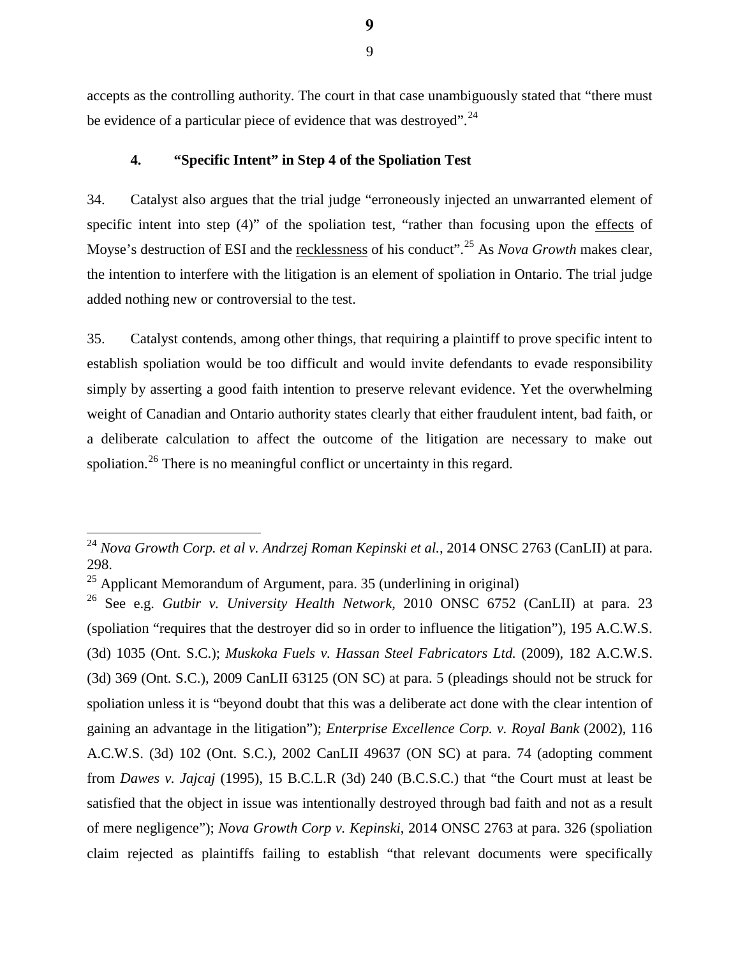accepts as the controlling authority. The court in that case unambiguously stated that "there must be evidence of a particular piece of evidence that was destroyed".  $24$ 

## **4. "Specific Intent" in Step 4 of the Spoliation Test**

34. Catalyst also argues that the trial judge "erroneously injected an unwarranted element of specific intent into step (4)" of the spoliation test, "rather than focusing upon the effects of Moyse's destruction of ESI and the recklessness of his conduct".[25](#page-11-1) As *Nova Growth* makes clear, the intention to interfere with the litigation is an element of spoliation in Ontario. The trial judge added nothing new or controversial to the test.

35. Catalyst contends, among other things, that requiring a plaintiff to prove specific intent to establish spoliation would be too difficult and would invite defendants to evade responsibility simply by asserting a good faith intention to preserve relevant evidence. Yet the overwhelming weight of Canadian and Ontario authority states clearly that either fraudulent intent, bad faith, or a deliberate calculation to affect the outcome of the litigation are necessary to make out spoliation.<sup>[26](#page-11-2)</sup> There is no meaningful conflict or uncertainty in this regard.

 $\overline{\phantom{a}}$ 

<span id="page-11-0"></span><sup>&</sup>lt;sup>24</sup> *Nova Growth Corp. et al v. Andrzej Roman Kepinski et al., 2014 ONSC 2763 (CanLII) at para.* 298.

<span id="page-11-1"></span> $25$  Applicant Memorandum of Argument, para. 35 (underlining in original)

<span id="page-11-2"></span><sup>26</sup> See e.g. *Gutbir v. University Health Network,* 2010 ONSC 6752 (CanLII) at para. 23 (spoliation "requires that the destroyer did so in order to influence the litigation"), 195 A.C.W.S. (3d) 1035 (Ont. S.C.); *Muskoka Fuels v. Hassan Steel Fabricators Ltd.* (2009), 182 A.C.W.S. (3d) 369 (Ont. S.C.), 2009 CanLII 63125 (ON SC) at para. 5 (pleadings should not be struck for spoliation unless it is "beyond doubt that this was a deliberate act done with the clear intention of gaining an advantage in the litigation"); *Enterprise Excellence Corp. v. Royal Bank* (2002), 116 A.C.W.S. (3d) 102 (Ont. S.C.), 2002 CanLII 49637 (ON SC) at para. 74 (adopting comment from *Dawes v. Jajcaj* (1995), 15 B.C.L.R (3d) 240 (B.C.S.C.) that "the Court must at least be satisfied that the object in issue was intentionally destroyed through bad faith and not as a result of mere negligence"); *Nova Growth Corp v. Kepinski*, 2014 ONSC 2763 at para. 326 (spoliation claim rejected as plaintiffs failing to establish "that relevant documents were specifically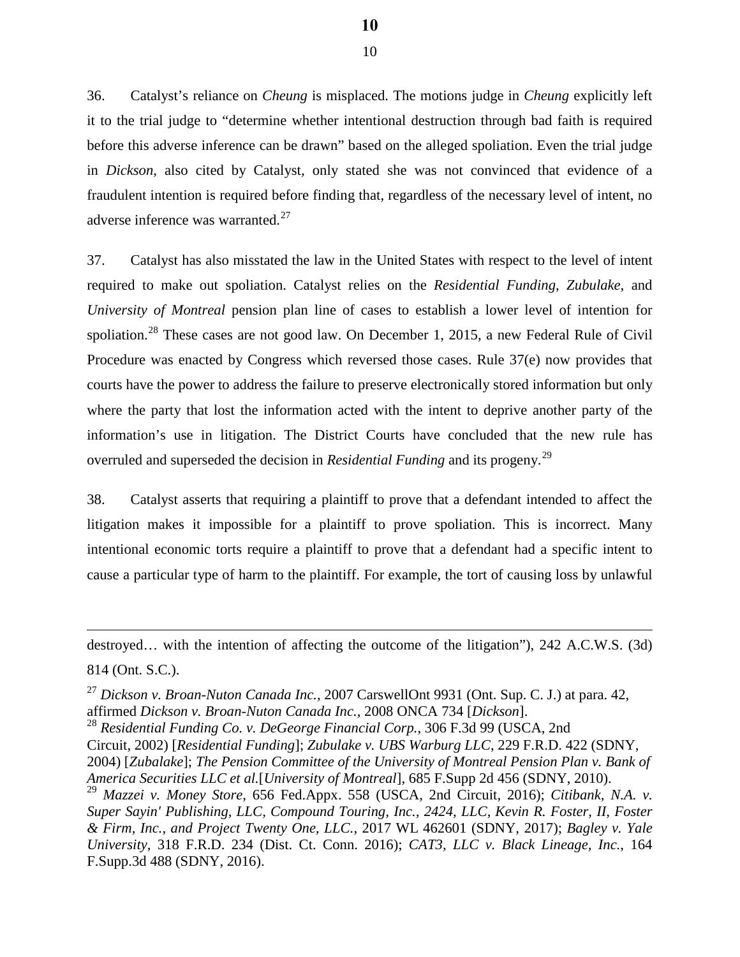10 **10**

36. Catalyst's reliance on *Cheung* is misplaced. The motions judge in *Cheung* explicitly left it to the trial judge to "determine whether intentional destruction through bad faith is required before this adverse inference can be drawn" based on the alleged spoliation. Even the trial judge in *Dickson*, also cited by Catalyst*,* only stated she was not convinced that evidence of a fraudulent intention is required before finding that, regardless of the necessary level of intent, no adverse inference was warranted.<sup>[27](#page-12-0)</sup>

37. Catalyst has also misstated the law in the United States with respect to the level of intent required to make out spoliation. Catalyst relies on the *Residential Funding*, *Zubulake*, and *University of Montreal* pension plan line of cases to establish a lower level of intention for spoliation.<sup>[28](#page-12-1)</sup> These cases are not good law. On December 1, 2015, a new Federal Rule of Civil Procedure was enacted by Congress which reversed those cases. Rule 37(e) now provides that courts have the power to address the failure to preserve electronically stored information but only where the party that lost the information acted with the intent to deprive another party of the information's use in litigation. The District Courts have concluded that the new rule has overruled and superseded the decision in *Residential Funding* and its progeny.[29](#page-12-2) 

38. Catalyst asserts that requiring a plaintiff to prove that a defendant intended to affect the litigation makes it impossible for a plaintiff to prove spoliation. This is incorrect. Many intentional economic torts require a plaintiff to prove that a defendant had a specific intent to cause a particular type of harm to the plaintiff. For example, the tort of causing loss by unlawful

destroyed… with the intention of affecting the outcome of the litigation"), 242 A.C.W.S. (3d) 814 (Ont. S.C.).

 $\overline{a}$ 

<span id="page-12-0"></span><sup>27</sup> *Dickson v. Broan-Nuton Canada Inc.*, 2007 CarswellOnt 9931 (Ont. Sup. C. J.) at para. 42, affirmed *Dickson v. Broan-Nuton Canada Inc.*, 2008 ONCA 734 [*Dickson*].

<span id="page-12-1"></span><sup>28</sup> *Residential Funding Co. v. DeGeorge Financial Corp.*, 306 F.3d 99 (USCA, 2nd Circuit, 2002) [*Residential Funding*]; *Zubulake v. UBS Warburg LLC*, 229 F.R.D. 422 (SDNY, 2004) [*Zubalake*]; *The Pension Committee of the University of Montreal Pension Plan v. Bank of America Securities LLC et al.*[*University of Montreal*], 685 F.Supp 2d 456 (SDNY, 2010).

<span id="page-12-2"></span><sup>29</sup> *Mazzei v. Money Store*, 656 Fed.Appx. 558 (USCA, 2nd Circuit, 2016); *Citibank, N.A. v. Super Sayin' Publishing, LLC, Compound Touring, Inc., 2424, LLC, Kevin R. Foster, II, Foster & Firm, Inc., and Project Twenty One, LLC.*, 2017 WL 462601 (SDNY, 2017); *Bagley v. Yale University*, 318 F.R.D. 234 (Dist. Ct. Conn. 2016); *CAT3, LLC v. Black Lineage, Inc.*, 164 F.Supp.3d 488 (SDNY, 2016).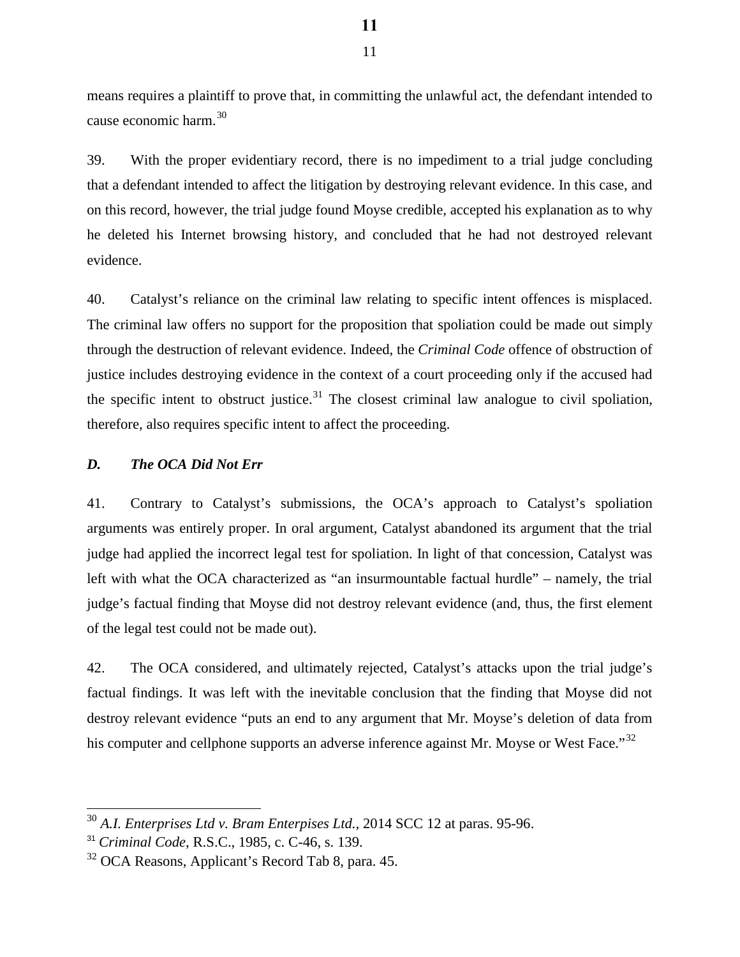means requires a plaintiff to prove that, in committing the unlawful act, the defendant intended to cause economic harm.<sup>30</sup>

39. With the proper evidentiary record, there is no impediment to a trial judge concluding that a defendant intended to affect the litigation by destroying relevant evidence. In this case, and on this record, however, the trial judge found Moyse credible, accepted his explanation as to why he deleted his Internet browsing history, and concluded that he had not destroyed relevant evidence.

40. Catalyst's reliance on the criminal law relating to specific intent offences is misplaced. The criminal law offers no support for the proposition that spoliation could be made out simply through the destruction of relevant evidence. Indeed, the *Criminal Code* offence of obstruction of justice includes destroying evidence in the context of a court proceeding only if the accused had the specific intent to obstruct justice.<sup>[31](#page-13-1)</sup> The closest criminal law analogue to civil spoliation, therefore, also requires specific intent to affect the proceeding.

## *D. The OCA Did Not Err*

41. Contrary to Catalyst's submissions, the OCA's approach to Catalyst's spoliation arguments was entirely proper. In oral argument, Catalyst abandoned its argument that the trial judge had applied the incorrect legal test for spoliation. In light of that concession, Catalyst was left with what the OCA characterized as "an insurmountable factual hurdle" – namely, the trial judge's factual finding that Moyse did not destroy relevant evidence (and, thus, the first element of the legal test could not be made out).

42. The OCA considered, and ultimately rejected, Catalyst's attacks upon the trial judge's factual findings. It was left with the inevitable conclusion that the finding that Moyse did not destroy relevant evidence "puts an end to any argument that Mr. Moyse's deletion of data from his computer and cellphone supports an adverse inference against Mr. Moyse or West Face."<sup>[32](#page-13-2)</sup>

 $\overline{\phantom{a}}$ 

<span id="page-13-0"></span><sup>30</sup> *A.I. Enterprises Ltd v. Bram Enterpises Ltd.,* 2014 SCC 12 at paras. 95-96.

<span id="page-13-1"></span><sup>31</sup> *Criminal Code*, R.S.C., 1985, c. C-46, s. 139.

<span id="page-13-2"></span> $32$  OCA Reasons, Applicant's Record Tab 8, para. 45.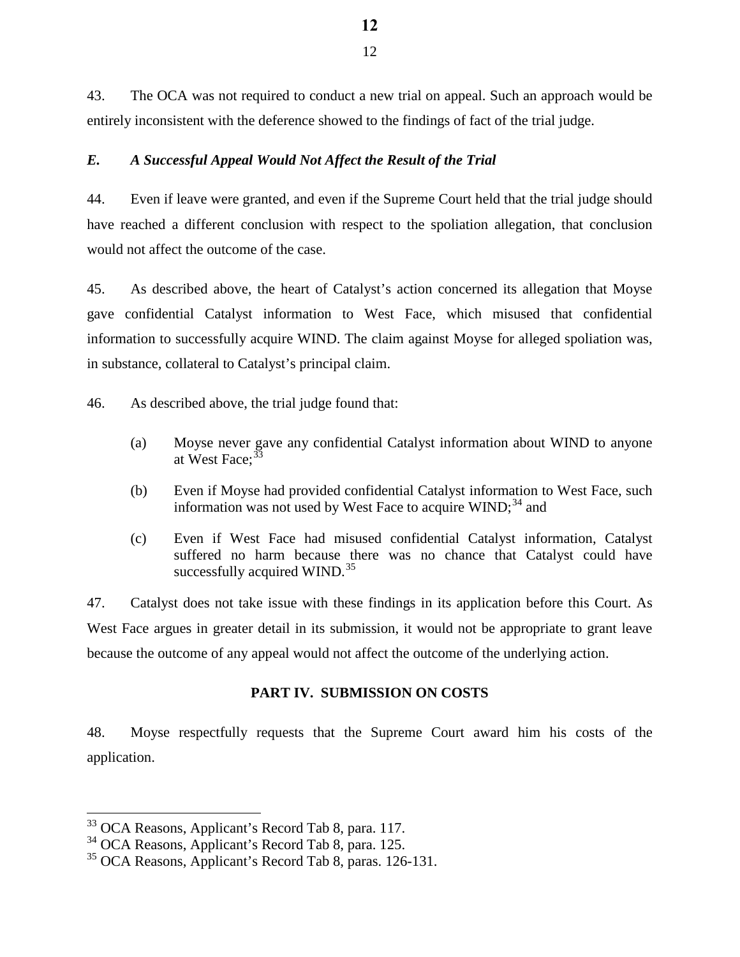43. The OCA was not required to conduct a new trial on appeal. Such an approach would be entirely inconsistent with the deference showed to the findings of fact of the trial judge.

## *E. A Successful Appeal Would Not Affect the Result of the Trial*

44. Even if leave were granted, and even if the Supreme Court held that the trial judge should have reached a different conclusion with respect to the spoliation allegation, that conclusion would not affect the outcome of the case.

45. As described above, the heart of Catalyst's action concerned its allegation that Moyse gave confidential Catalyst information to West Face, which misused that confidential information to successfully acquire WIND. The claim against Moyse for alleged spoliation was, in substance, collateral to Catalyst's principal claim.

46. As described above, the trial judge found that:

- (a) Moyse never gave any confidential Catalyst information about WIND to anyone at West Face:  $3\overline{3}$
- (b) Even if Moyse had provided confidential Catalyst information to West Face, such information was not used by West Face to acquire  $WIND;^{34}$  $WIND;^{34}$  $WIND;^{34}$  and
- (c) Even if West Face had misused confidential Catalyst information, Catalyst suffered no harm because there was no chance that Catalyst could have successfully acquired WIND. $35$

47. Catalyst does not take issue with these findings in its application before this Court. As West Face argues in greater detail in its submission, it would not be appropriate to grant leave because the outcome of any appeal would not affect the outcome of the underlying action.

#### **PART IV. SUBMISSION ON COSTS**

48. Moyse respectfully requests that the Supreme Court award him his costs of the application.

 $\overline{\phantom{a}}$ 

<span id="page-14-0"></span><sup>&</sup>lt;sup>33</sup> OCA Reasons, Applicant's Record Tab 8, para. 117.

<span id="page-14-1"></span><sup>34</sup> OCA Reasons, Applicant's Record Tab 8, para. 125.

<span id="page-14-2"></span><sup>35</sup> OCA Reasons, Applicant's Record Tab 8, paras. 126-131.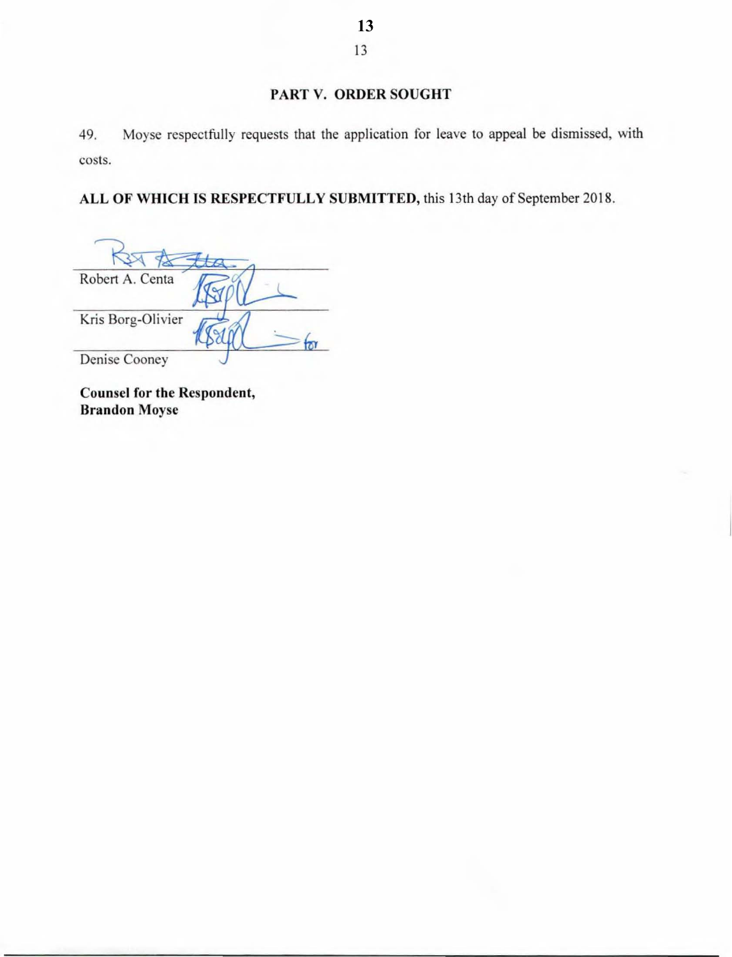## PART V. ORDER SOUGHT

49. Moyse respectfully requests that the application for leave to appeal be dismissed, with costs.

ALL OF WHICH IS RESPECTFULLY SUBMITTED, this 13th day of September 2018.

Robert A. Centa Kris Borg-Olivier Denise Cooney

Counsel for the Respondent, Brandon Moyse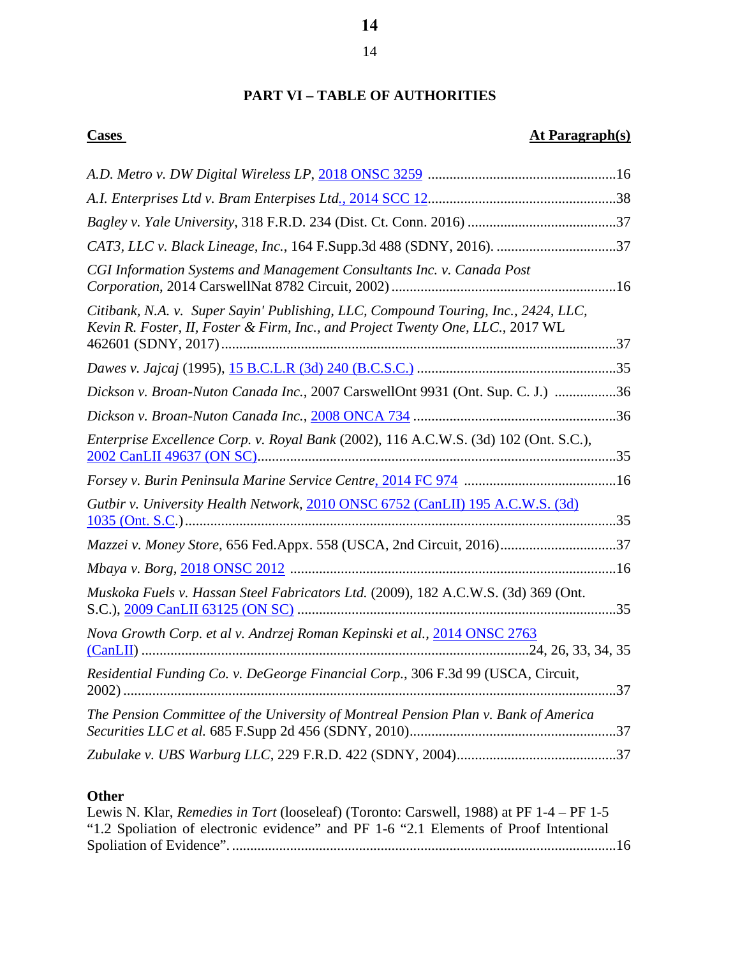# **PART VI – TABLE OF AUTHORITIES**

# **Cases** At Paragraph(s)

| CAT3, LLC v. Black Lineage, Inc., 164 F.Supp.3d 488 (SDNY, 2016). 37                                                                                                  |
|-----------------------------------------------------------------------------------------------------------------------------------------------------------------------|
| CGI Information Systems and Management Consultants Inc. v. Canada Post                                                                                                |
| Citibank, N.A. v. Super Sayin' Publishing, LLC, Compound Touring, Inc., 2424, LLC,<br>Kevin R. Foster, II, Foster & Firm, Inc., and Project Twenty One, LLC., 2017 WL |
|                                                                                                                                                                       |
| Dickson v. Broan-Nuton Canada Inc., 2007 CarswellOnt 9931 (Ont. Sup. C. J.) 36                                                                                        |
|                                                                                                                                                                       |
| Enterprise Excellence Corp. v. Royal Bank (2002), 116 A.C.W.S. (3d) 102 (Ont. S.C.),                                                                                  |
|                                                                                                                                                                       |
| Gutbir v. University Health Network, 2010 ONSC 6752 (CanLII) 195 A.C.W.S. (3d)                                                                                        |
| Mazzei v. Money Store, 656 Fed.Appx. 558 (USCA, 2nd Circuit, 2016)37                                                                                                  |
|                                                                                                                                                                       |
| Muskoka Fuels v. Hassan Steel Fabricators Ltd. (2009), 182 A.C.W.S. (3d) 369 (Ont.                                                                                    |
| Nova Growth Corp. et al v. Andrzej Roman Kepinski et al., 2014 ONSC 2763                                                                                              |
| Residential Funding Co. v. DeGeorge Financial Corp., 306 F.3d 99 (USCA, Circuit,                                                                                      |
| The Pension Committee of the University of Montreal Pension Plan v. Bank of America                                                                                   |
|                                                                                                                                                                       |

# **Other**

| Lewis N. Klar, <i>Remedies in Tort</i> (looseleaf) (Toronto: Carswell, 1988) at PF 1-4 – PF 1-5 |  |
|-------------------------------------------------------------------------------------------------|--|
| "1.2 Spoliation of electronic evidence" and PF 1-6 "2.1 Elements of Proof Intentional           |  |
|                                                                                                 |  |

14 **14**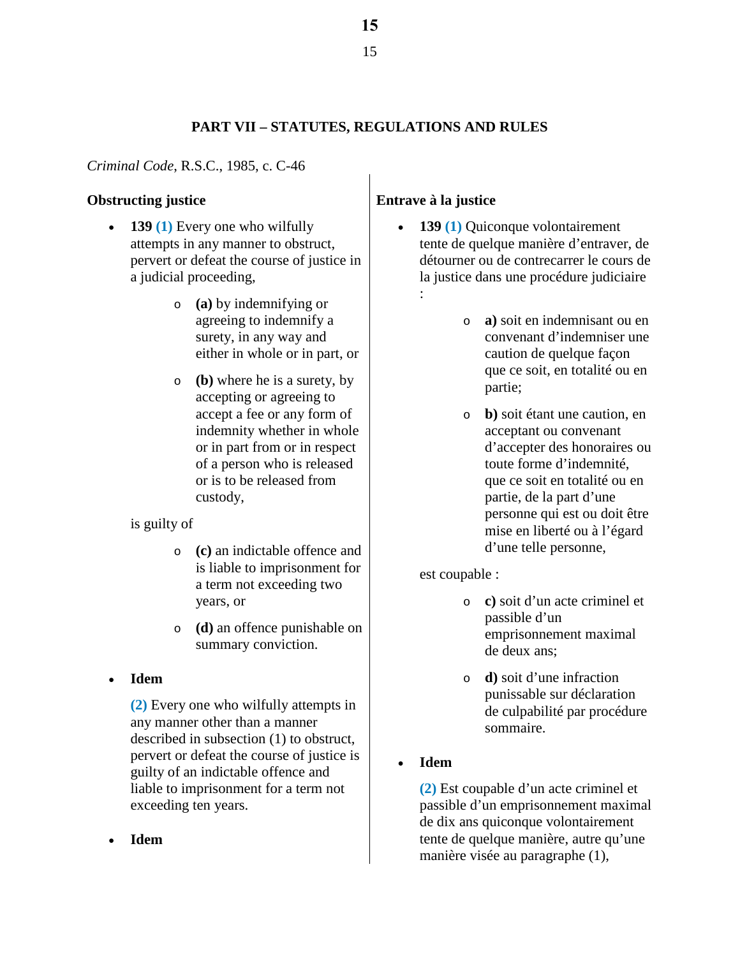# **PART VII – STATUTES, REGULATIONS AND RULES**

## *Criminal Code*, R.S.C., 1985, c. C-46

## **Obstructing justice**

- **139 (1)** Every one who wilfully attempts in any manner to obstruct, pervert or defeat the course of justice in a judicial proceeding,
	- o **(a)** by indemnifying or agreeing to indemnify a surety, in any way and either in whole or in part, or
	- o **(b)** where he is a surety, by accepting or agreeing to accept a fee or any form of indemnity whether in whole or in part from or in respect of a person who is released or is to be released from custody,

is guilty of

- o **(c)** an indictable offence and is liable to imprisonment for a term not exceeding two years, or
- o **(d)** an offence punishable on summary conviction.

## • **Idem**

**(2)** Every one who wilfully attempts in any manner other than a manner described in subsection (1) to obstruct, pervert or defeat the course of justice is guilty of an indictable offence and liable to imprisonment for a term not exceeding ten years.

# **Entrave à la justice**

- **139 (1)** Quiconque volontairement tente de quelque manière d'entraver, de détourner ou de contrecarrer le cours de la justice dans une procédure judiciaire :
	- o **a)** soit en indemnisant ou en convenant d'indemniser une caution de quelque façon que ce soit, en totalité ou en partie;
	- o **b)** soit étant une caution, en acceptant ou convenant d'accepter des honoraires ou toute forme d'indemnité, que ce soit en totalité ou en partie, de la part d'une personne qui est ou doit être mise en liberté ou à l'égard d'une telle personne,

est coupable :

- o **c)** soit d'un acte criminel et passible d'un emprisonnement maximal de deux ans;
- o **d)** soit d'une infraction punissable sur déclaration de culpabilité par procédure sommaire.

## • **Idem**

**(2)** Est coupable d'un acte criminel et passible d'un emprisonnement maximal de dix ans quiconque volontairement tente de quelque manière, autre qu'une manière visée au paragraphe (1),

• **Idem**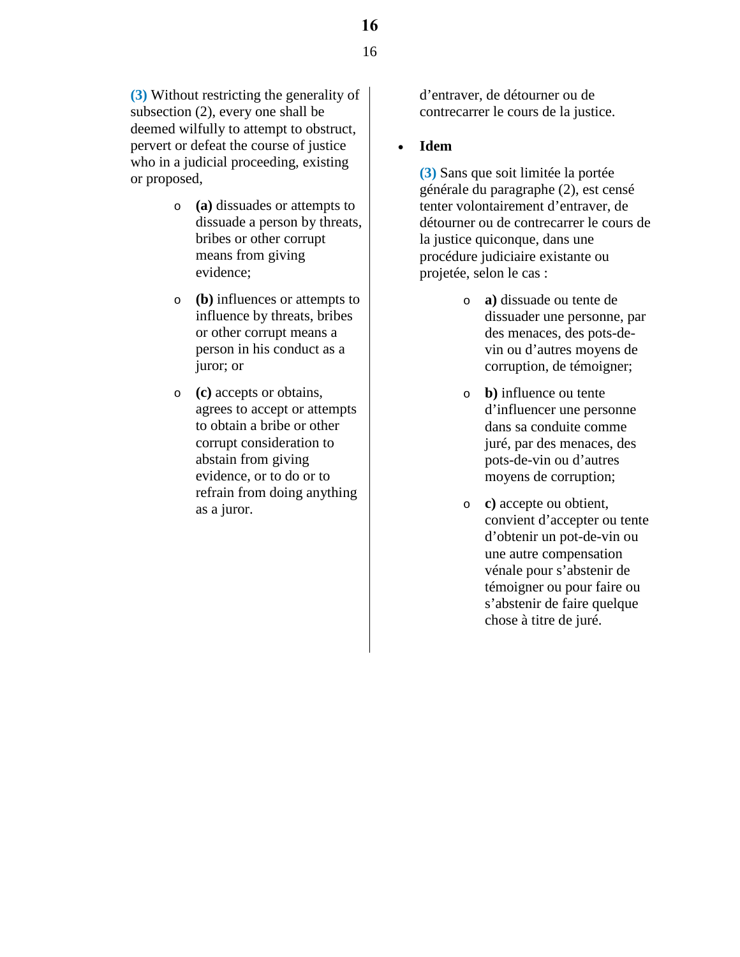**16**

16

**(3)** Without restricting the generality of subsection (2), every one shall be deemed wilfully to attempt to obstruct, pervert or defeat the course of justice who in a judicial proceeding, existing or proposed,

- o **(a)** dissuades or attempts to dissuade a person by threats, bribes or other corrupt means from giving evidence;
- o **(b)** influences or attempts to influence by threats, bribes or other corrupt means a person in his conduct as a juror; or
- o **(c)** accepts or obtains, agrees to accept or attempts to obtain a bribe or other corrupt consideration to abstain from giving evidence, or to do or to refrain from doing anything as a juror.

d'entraver, de détourner ou de contrecarrer le cours de la justice.

## • **Idem**

**(3)** Sans que soit limitée la portée générale du paragraphe (2), est censé tenter volontairement d'entraver, de détourner ou de contrecarrer le cours de la justice quiconque, dans une procédure judiciaire existante ou projetée, selon le cas :

- o **a)** dissuade ou tente de dissuader une personne, par des menaces, des pots-devin ou d'autres moyens de corruption, de témoigner;
- o **b)** influence ou tente d'influencer une personne dans sa conduite comme juré, par des menaces, des pots-de-vin ou d'autres moyens de corruption;
- o **c)** accepte ou obtient, convient d'accepter ou tente d'obtenir un pot-de-vin ou une autre compensation vénale pour s'abstenir de témoigner ou pour faire ou s'abstenir de faire quelque chose à titre de juré.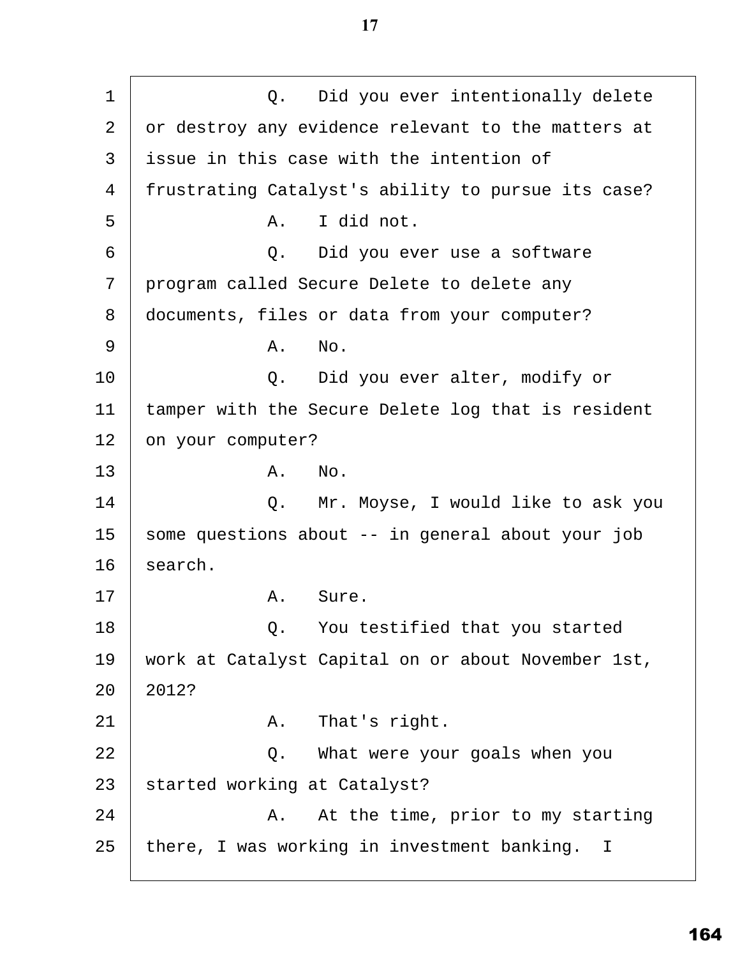1 |  $Q.$  Did you ever intentionally delete 2 or destroy any evidence relevant to the matters at  $3$  | issue in this case with the intention of 4 | frustrating Catalyst's ability to pursue its case? ·5· · · · · · · ·A.· ·I did not. 6 | Q. Did you ever use a software 7 | program called Secure Delete to delete any 8 | documents, files or data from your computer?  $9$   $\begin{array}{ccc} \text{A.} & \text{No.} \end{array}$ 10 |  $Q.$  Did you ever alter, modify or 11 | tamper with the Secure Delete log that is resident 12 on your computer?  $13$   $\parallel$   $\text{A. No.}$ 14 | C. Mr. Moyse, I would like to ask you  $15$  some questions about -- in general about your job  $16$  search. 17 | **A.** Sure. 18 | Q. You testified that you started 19 | work at Catalyst Capital on or about November 1st,  $20$  |  $2012$ ? 21· · · · · · · ·A.· ·That's right. 22· · · · · · · ·Q.· ·What were your goals when you 23 | started working at Catalyst? 24 | A. At the time, prior to my starting 25 | there, I was working in investment banking. I 17<br>
you ever intentionally delete<br>
ce relevant to the matters at<br>
th the intention of<br>
s ability to pursue its case?<br>
1 not.<br>
you ever use a software<br>
Delete to delete any<br>
ata from your computer?<br>
you ever alter, modify o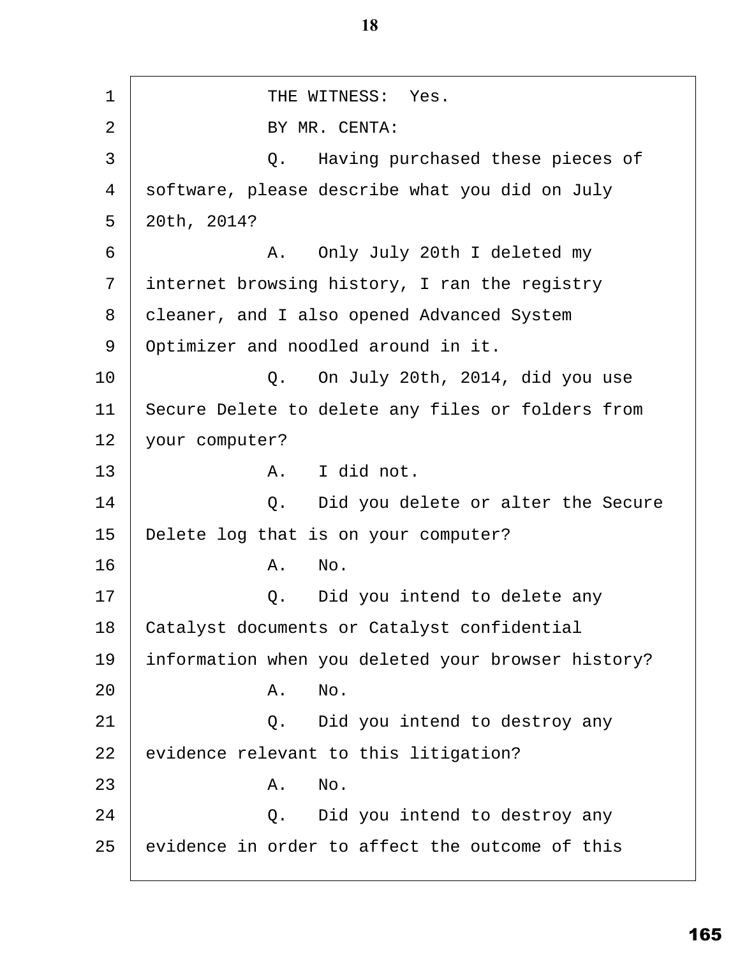1 | THE WITNESS: Yes.  $2$  |  $_{\rm BY}$  MR. CENTA: ·3· · · · · · · ·Q.· ·Having purchased these pieces of 4 software, please describe what you did on July  $5 \mid 20th, 2014$ ? ·6· · · · · · · ·A.· ·Only July 20th I deleted my 7 | internet browsing history, I ran the registry 8 | cleaner, and I also opened Advanced System 9 | Optimizer and noodled around in it. 10 |  $Q.$  On July 20th, 2014, did you use 11 | Secure Delete to delete any files or folders from 12 | your computer?  $13$   $\phantom{00}$   $\phantom{00}$   $\phantom{00}$   $\phantom{0}$   $\phantom{0}$   $\phantom{0}$   $\phantom{0}$   $\phantom{0}$   $\phantom{0}$   $\phantom{0}$   $\phantom{0}$   $\phantom{0}$   $\phantom{0}$   $\phantom{0}$   $\phantom{0}$   $\phantom{0}$   $\phantom{0}$   $\phantom{0}$   $\phantom{0}$   $\phantom{0}$   $\phantom{0}$   $\phantom{0}$   $\phantom{0}$   $\phantom{0$ 14 **9.** Did you delete or alter the Secure 15 | Delete log that is on your computer?  $16$   $\begin{matrix} \end{matrix}$   $\begin{matrix} A. & N_0. \end{matrix}$ 17 | **Q.** Did you intend to delete any 18 | Catalyst documents or Catalyst confidential 19 | information when you deleted your browser history?  $20$   $\begin{matrix} \end{matrix}$   $\begin{matrix} A. & N \end{matrix}$ 21 |  $Q.$  Did you intend to destroy any  $22$  | evidence relevant to this litigation?  $23$   $\parallel$   $\blacksquare$   $\blacksquare$   $\blacksquare$   $\blacksquare$   $\blacksquare$   $\blacksquare$   $\blacksquare$   $\blacksquare$   $\blacksquare$   $\blacksquare$   $\blacksquare$   $\blacksquare$   $\blacksquare$   $\blacksquare$   $\blacksquare$   $\blacksquare$   $\blacksquare$   $\blacksquare$   $\blacksquare$   $\blacksquare$   $\blacksquare$   $\blacksquare$   $\blacksquare$   $\blacksquare$   $\blacksquare$   $\blacksquare$   $\blacksquare$   $\blacksquare$   $\blacksquare$   $\blacksquare$  24 |  $Q.$  Did you intend to destroy any  $25$   $\vert$  evidence in order to affect the outcome of this 18<br>
SS: Yes.<br>
NTA:<br>
ng purchased these pieces of<br>
ribe what you did on July<br>
July 20th I deleted my<br>
tory, I ran the registry<br>
pened Advanced System<br>
around in it.<br>
11y 20th, 2014, did you use<br>
the any files or folders fro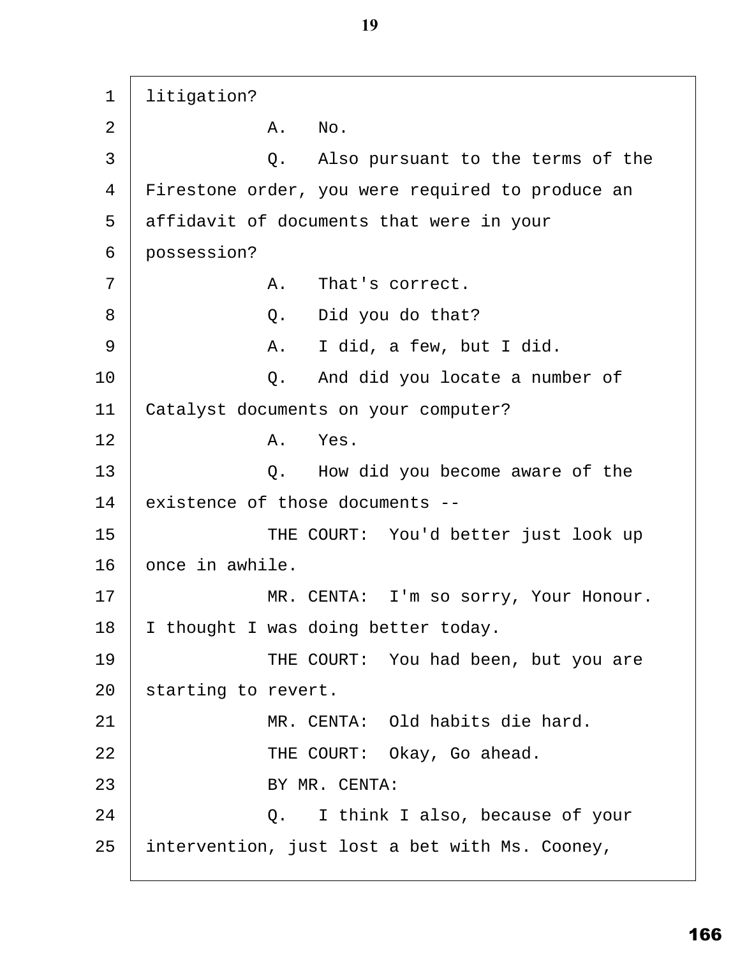1 | litigation?  $2$  |  $\qquad \qquad$   $A. \quad$  No. 3 **1 2.** Also pursuant to the terms of the 4 Firestone order, you were required to produce an 5 affidavit of documents that were in your 6 possession?  $7$  |  $\hbox{A. }$  That's correct. 8 | **Q.** Did you do that? ·9· · · · · · · ·A.· ·I did, a few, but I did. 10 |  $Q.$  And did you locate a number of 11 | Catalyst documents on your computer?  $12$   $A.$   $Yes.$ 13 **13** · **2.** How did you become aware of the  $14$  existence of those documents --15 | THE COURT: You'd better just look up  $16$  once in awhile. 17 | MR. CENTA: I'm so sorry, Your Honour.  $18$  | I thought I was doing better today. 19 | THE COURT: You had been, but you are  $20$  starting to revert. 21· · · · · · · ·MR. CENTA:· Old habits die hard. 22 | THE COURT: Okay, Go ahead. 23 | BY MR. CENTA: 24 | C. I think I also, because of your 25 | intervention, just lost a bet with Ms. Cooney, 166 **19**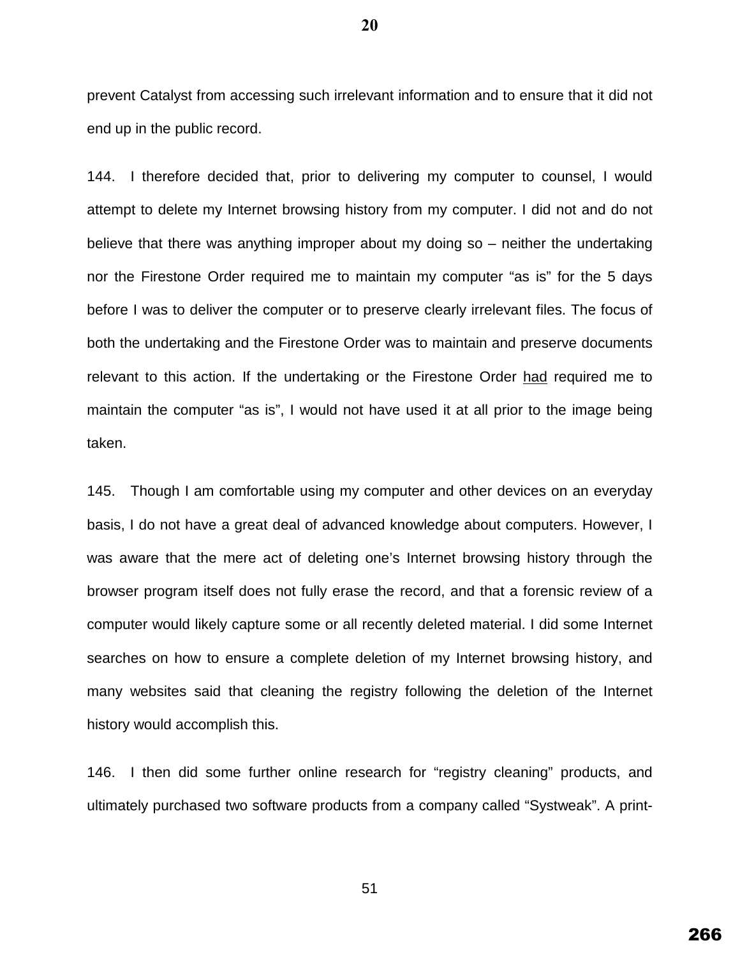prevent Catalyst from accessing such irrelevant information and to ensure that it did not end up in the public record.

144. I therefore decided that, prior to delivering my computer to counsel, I would attempt to delete my Internet browsing history from my computer. I did not and do not believe that there was anything improper about my doing so – neither the undertaking nor the Firestone Order required me to maintain my computer "as is" for the 5 days before I was to deliver the computer or to preserve clearly irrelevant files. The focus of both the undertaking and the Firestone Order was to maintain and preserve documents relevant to this action. If the undertaking or the Firestone Order had required me to maintain the computer "as is", I would not have used it at all prior to the image being taken. 20<br>
20<br>
Evant information and to ensure that it did not<br>
delivering my computer to counsel, I would<br>
delivering my computer. I did not and do not<br>
about my doing so – neither the undertaking<br>
anintain my computer "as is" f

145. Though I am comfortable using my computer and other devices on an everyday basis, I do not have a great deal of advanced knowledge about computers. However, I was aware that the mere act of deleting one's Internet browsing history through the browser program itself does not fully erase the record, and that a forensic review of a computer would likely capture some or all recently deleted material. I did some Internet searches on how to ensure a complete deletion of my Internet browsing history, and many websites said that cleaning the registry following the deletion of the Internet history would accomplish this.

146. I then did some further online research for "registry cleaning" products, and ultimately purchased two software products from a company called "Systweak". A print-

51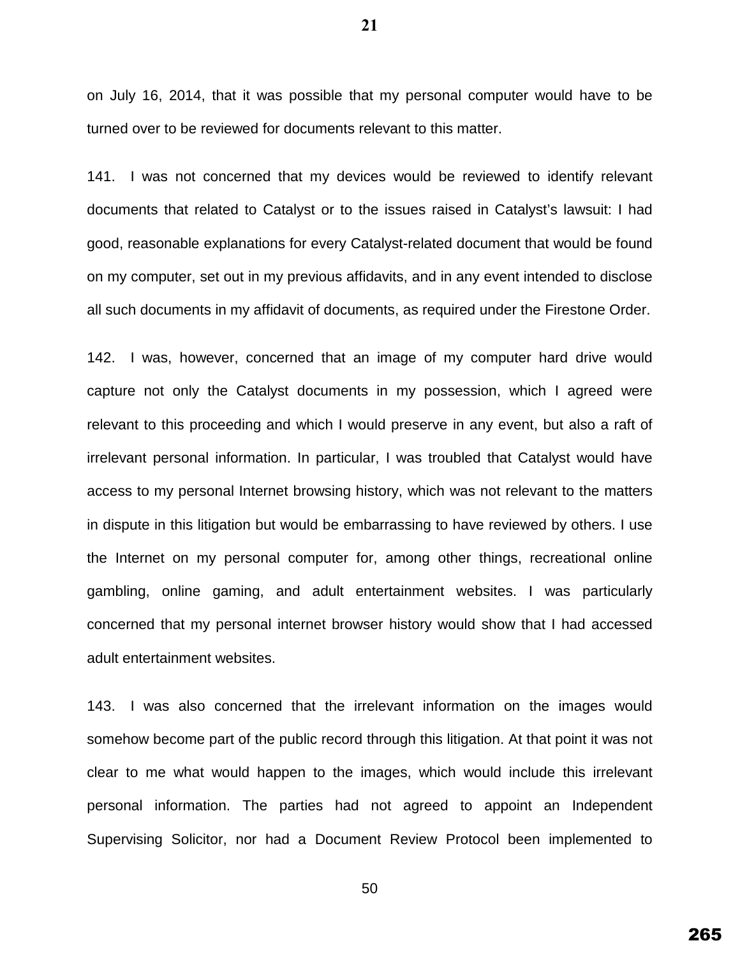on July 16, 2014, that it was possible that my personal computer would have to be turned over to be reviewed for documents relevant to this matter.

141. I was not concerned that my devices would be reviewed to identify relevant documents that related to Catalyst or to the issues raised in Catalyst's lawsuit: I had good, reasonable explanations for every Catalyst-related document that would be found on my computer, set out in my previous affidavits, and in any event intended to disclose all such documents in my affidavit of documents, as required under the Firestone Order.

142. I was, however, concerned that an image of my computer hard drive would capture not only the Catalyst documents in my possession, which I agreed were relevant to this proceeding and which I would preserve in any event, but also a raft of irrelevant personal information. In particular, I was troubled that Catalyst would have access to my personal Internet browsing history, which was not relevant to the matters in dispute in this litigation but would be embarrassing to have reviewed by others. I use the Internet on my personal computer for, among other things, recreational online gambling, online gaming, and adult entertainment websites. I was particularly concerned that my personal internet browser history would show that I had accessed adult entertainment websites. 21<br>
at my personal computer would have to be<br>
relevant to this matter.<br>
ices would be reviewed to identify relevant<br>
the issues raised in Catalyst's lawsuit: I had<br>
atalyst-related document that would be found<br>
ridiavits,

143. I was also concerned that the irrelevant information on the images would somehow become part of the public record through this litigation. At that point it was not clear to me what would happen to the images, which would include this irrelevant personal information. The parties had not agreed to appoint an Independent Supervising Solicitor, nor had a Document Review Protocol been implemented to

50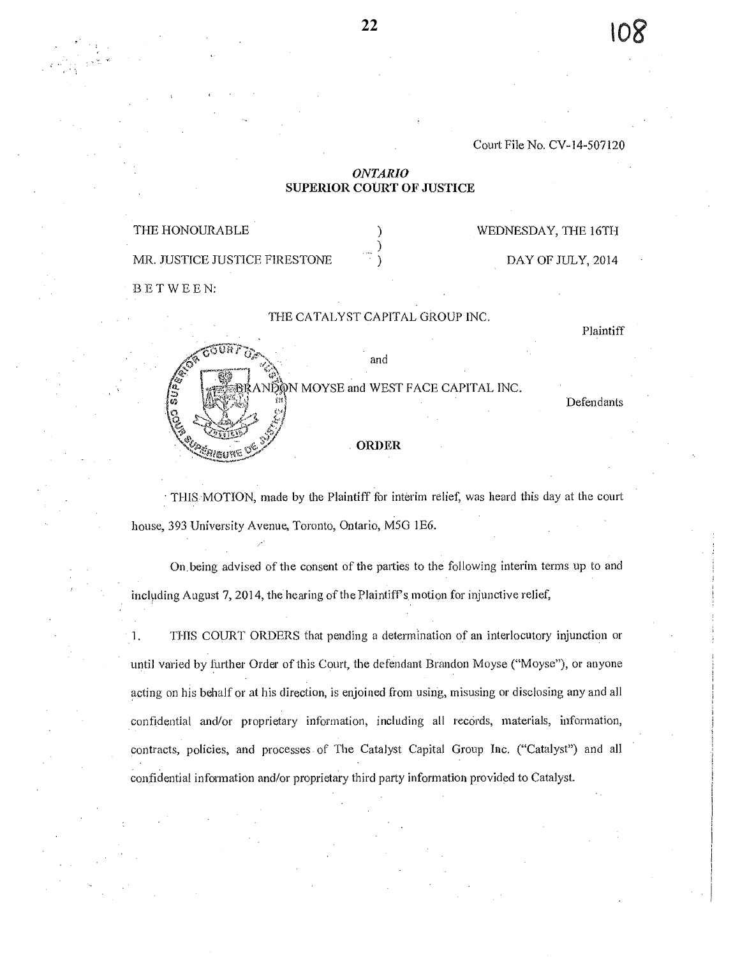#### Court File No. CV-14-507120

#### ONTARIO SUPERIOR COURT OF JUSTICE

| THE HONOURABLE                  | WEDNESDAY, THE 16TH |
|---------------------------------|---------------------|
| MR. JUSTICE JUSTICE FIRESTONE   | DAY OF JULY, 2014   |
| BETWEEN:                        |                     |
| THE CATALYST CAPITAL GROUP INC. |                     |

Plaintiff

|                 | and                                 |  |
|-----------------|-------------------------------------|--|
| SU <sup>2</sup> | ON MOYSE and WEST FACE CAPITAL INC. |  |
|                 | <b>ORDER</b>                        |  |

Defendants

• THIS MOTION, made by the Plaintiff for interim relief, was heard this day at the court house, 393 University Avenue, Toronto, Ontario, M5G 1E6.

On being advised of the consent of the parties to the following interim terms up to and including August 7, 2014, the hearing of the Plaintiff's motion for injunctive relief,

• 1. THIS COURT ORDERS that pending a determination of an interlocutory injunction or until varied by further Order of this Court, the defendant Brandon Moyse ("Moyse"), or anyone acting on his behalf or at his direction, is enjoined from using, misusing or disclosing any and all confidential and/or proprietary information, including all records, materials, information, contracts, policies, and processes. of The Catalyst Capital Group Inc. ("Catalyst") and all confidential information and/or proprietary third party information provided to Catalyst.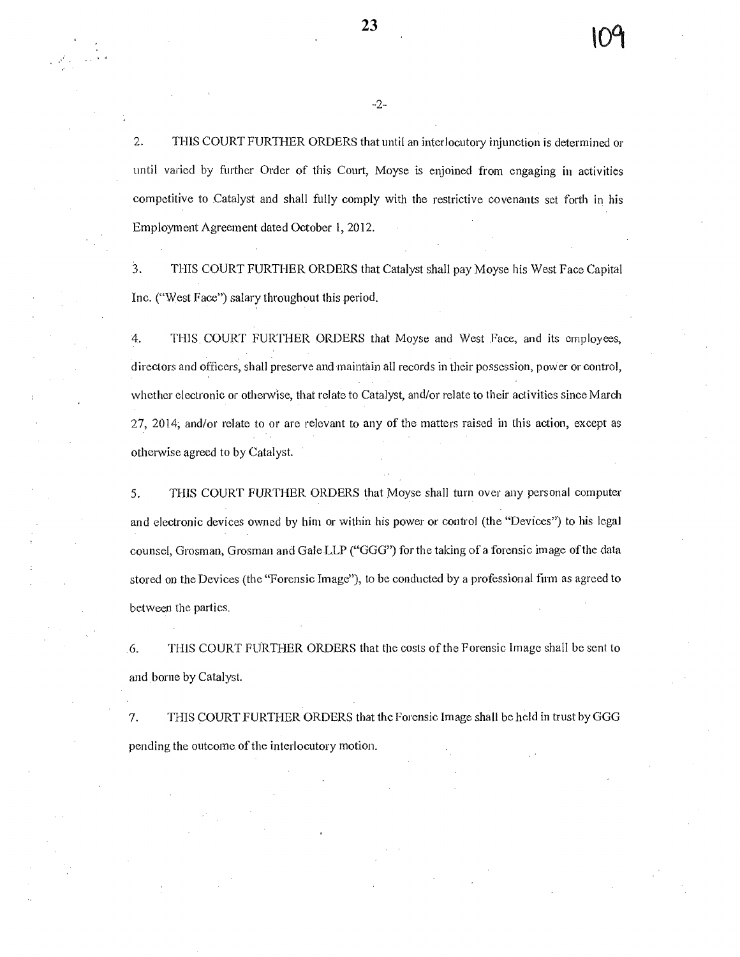2. THIS COURT FURTHER ORDERS that until an interlocutory injunction is determined or until varied by further Order of this Court, Moyse is enjoined from engaging in activities competitive to Catalyst and shall fully comply with the restrictive covenants set forth in his Employment Agreement dated October 1, 2012.

-2-

3. THIS COURT FURTHER ORDERS that Catalyst shall pay Moyse his West Face Capital Inc. ("West Face") salary throughout this period.

4. THIS. COURT FURTHER ORDERS that Moyse and West Face, and its employees, directors and officers, shall preserve and maintain all records in their possession, power or control, whether electronic or otherwise, that relate to Catalyst, and/or relate to their activities since March 27, 2014, and/or relate to or are relevant to any of the matters raised in this action, except as otherwise agreed to by Catalyst.

5. THIS COURT FURTHER ORDERS that Moyse shall turn over any personal computer and electronic devices owned by him or within his power or control (the "Devices") to his legal counsel, Grosman, Grosman and Gale LLP ("GGG") for the taking of a forensic image of the data stored on the Devices (the "Forensic Image"), to be conducted by a professional finn as agreed to between the parties.

6. THIS COURT FURTHER ORDERS that the costs of the Forensic Image shall be sent to and borne by Catalyst.

7. THIS COURT FURTHER ORDERS that the Forensic Image shall be held in trust by GGG pending the outcome of the interlocutory motion.

**23**

109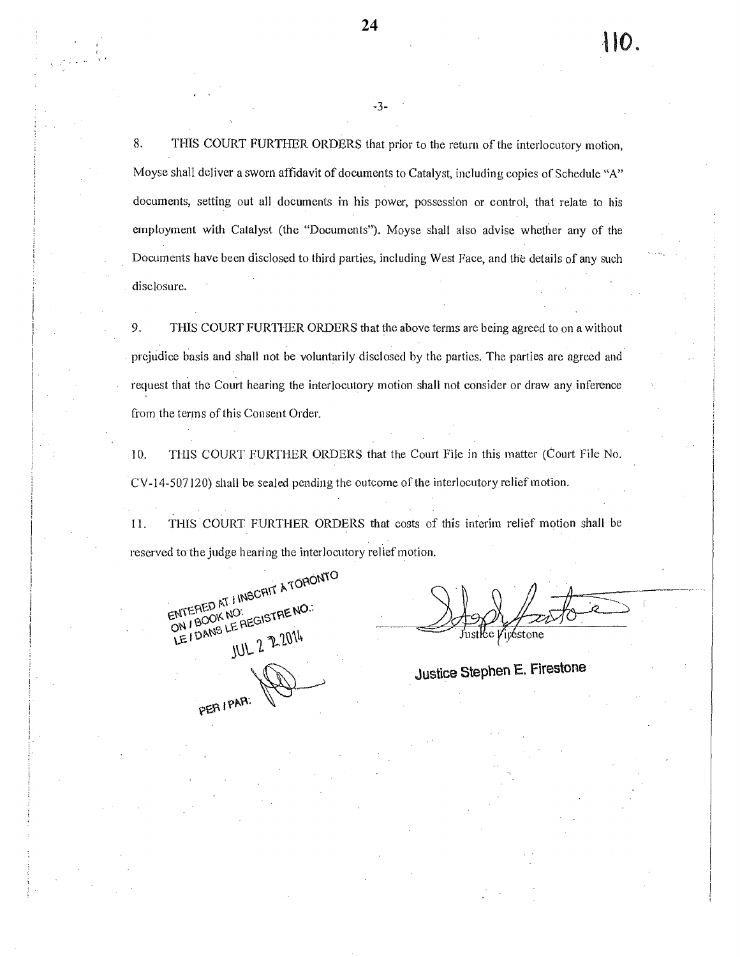8. THIS COURT FURTHER ORDERS that prior to the return of the interlocutory motion, Moyse shall deliver a sworn affidavit of documents to Catalyst, including copies of Schedule "A" documents, setting out all documents in his power, possession or control, that relate to his employment with Catalyst (the "Documents"). Moyse shall also advise whether any of the Documents have been disclosed to third parties, including West Face, and the details of any such disclosure.

-3-

9. THIS COURT FURTHER ORDERS that the above terms are being agreed to on a without prejudice basis and shall not be voluntarily disclosed by the parties. The parties are agreed and request that the Court hearing the interlocutory motion shall not consider or draw any inference from the terms of this Consent Order.

10. THIS COURT FURTHER. ORDERS that the Court File in this matter (Court File No. CV-14-507120) shall be sealed pending the outcome of the interlocutory relief motion.

I1. THIS COURT FURTHER ORDERS that costs of this interim relief motion shall be reserved to the judge hearing the interlocutory relief motion.

DTU<sub>nan</sub> **IMECRIT** ON / BOOK NO:<br>LE / DANS LE REGISTRE NO.:  $-$ caED<sup>AN</sup>  $\text{MOS}$  and  $\text{MOS}$ **JUL 2 2 2014** PER IPAR:

ipestone

Justice Stephen E. Firestone